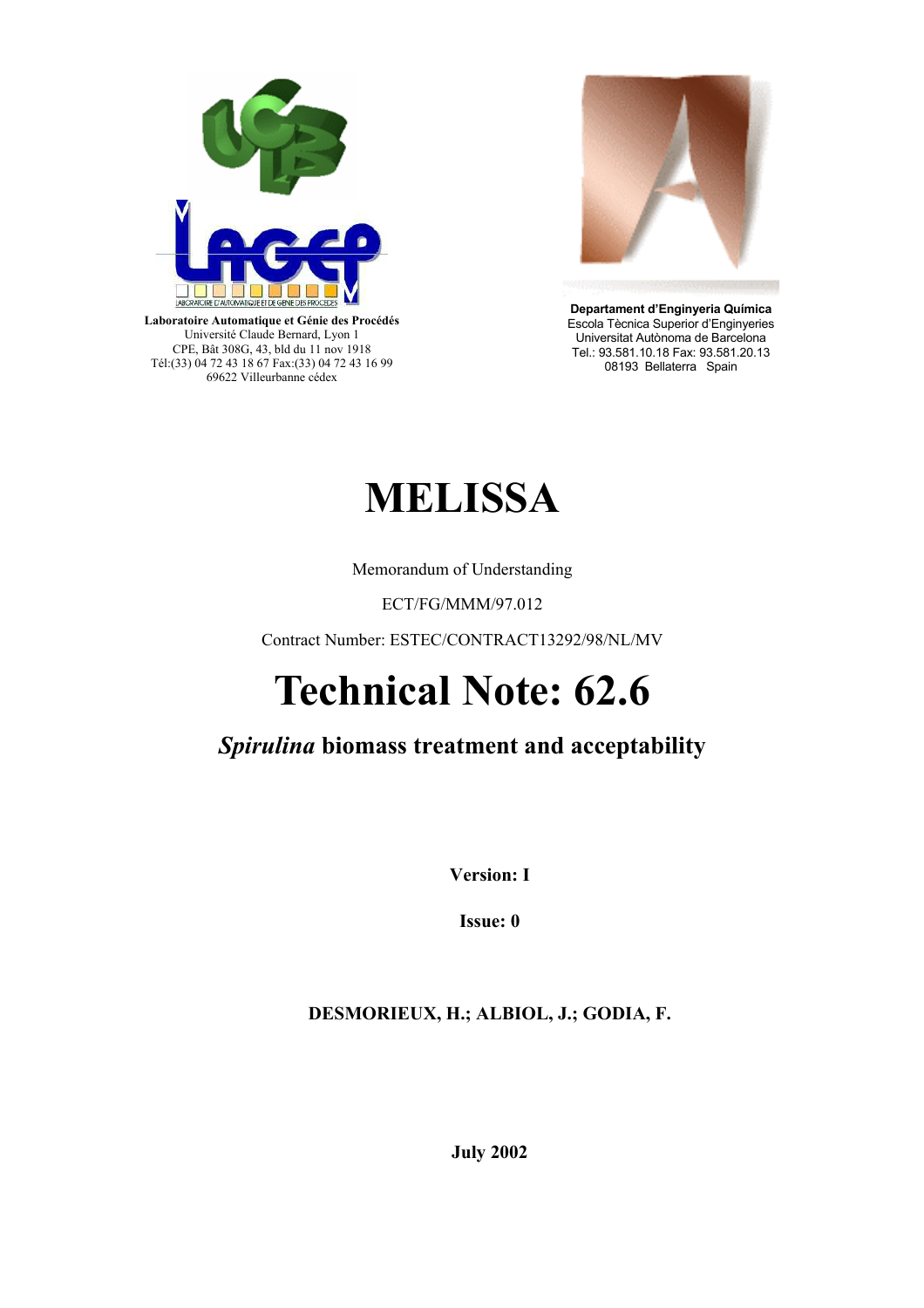

**Laboratoire Automatique et Génie des Procédés** Université Claude Bernard, Lyon 1 CPE, Bât 308G, 43, bld du 11 nov 1918 Tél:(33) 04 72 43 18 67 Fax:(33) 04 72 43 16 99 69622 Villeurbanne cédex



**Departament d'Enginyeria Química**  Escola Tècnica Superior d'Enginyeries Universitat Autònoma de Barcelona Tel.: 93.581.10.18 Fax: 93.581.20.13 08193 Bellaterra Spain

# **MELISSA**

Memorandum of Understanding

ECT/FG/MMM/97.012

Contract Number: ESTEC/CONTRACT13292/98/NL/MV

# **Technical Note: 62.6**

# *Spirulina* **biomass treatment and acceptability**

**Version: I** 

**Issue: 0** 

**DESMORIEUX, H.; ALBIOL, J.; GODIA, F.** 

**July 2002**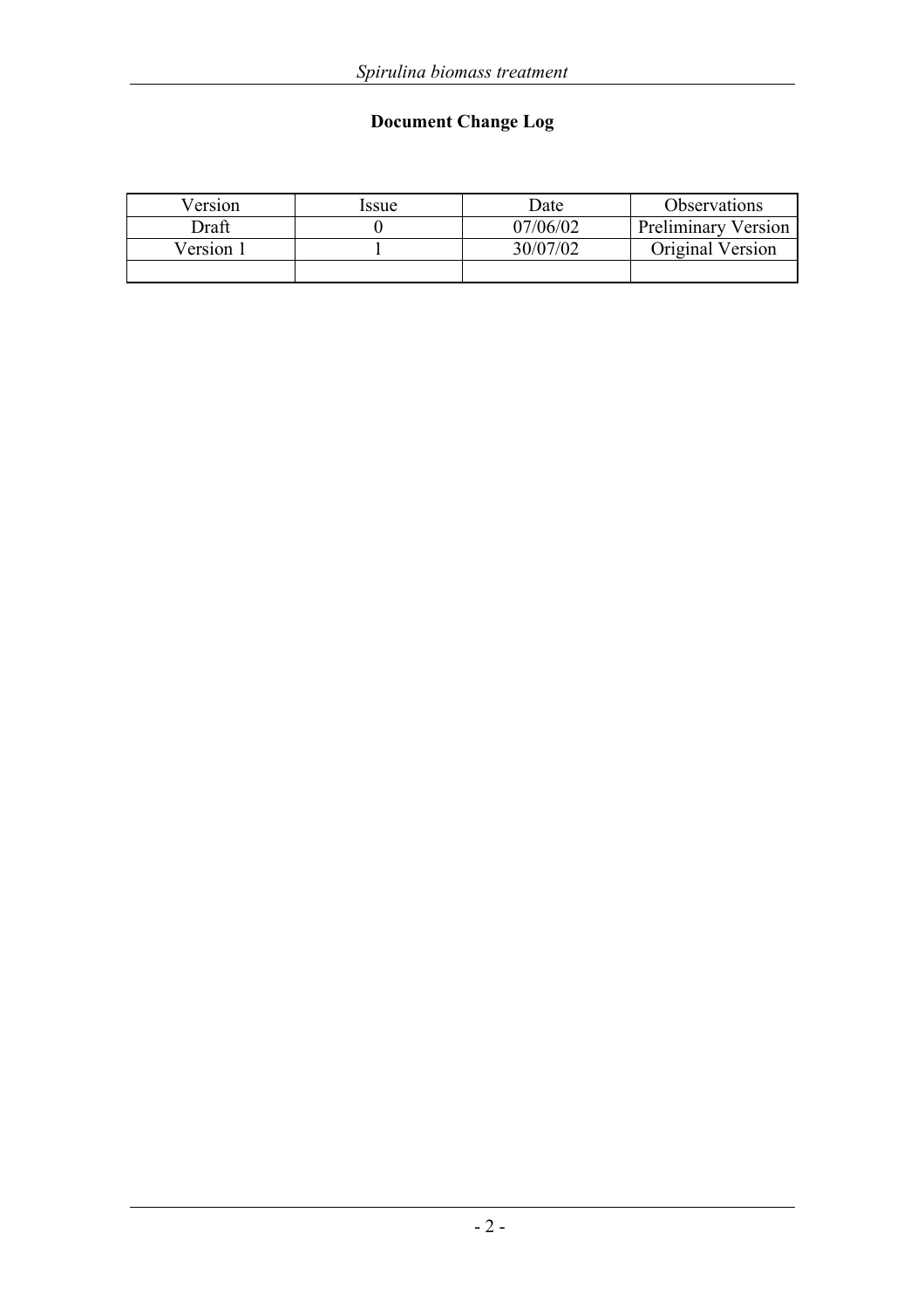# **Document Change Log**

| Version   | Issue | Date     | <b>Observations</b>        |
|-----------|-------|----------|----------------------------|
| Draft     |       | 07/06/02 | <b>Preliminary Version</b> |
| Version 1 |       | 30/07/02 | Original Version           |
|           |       |          |                            |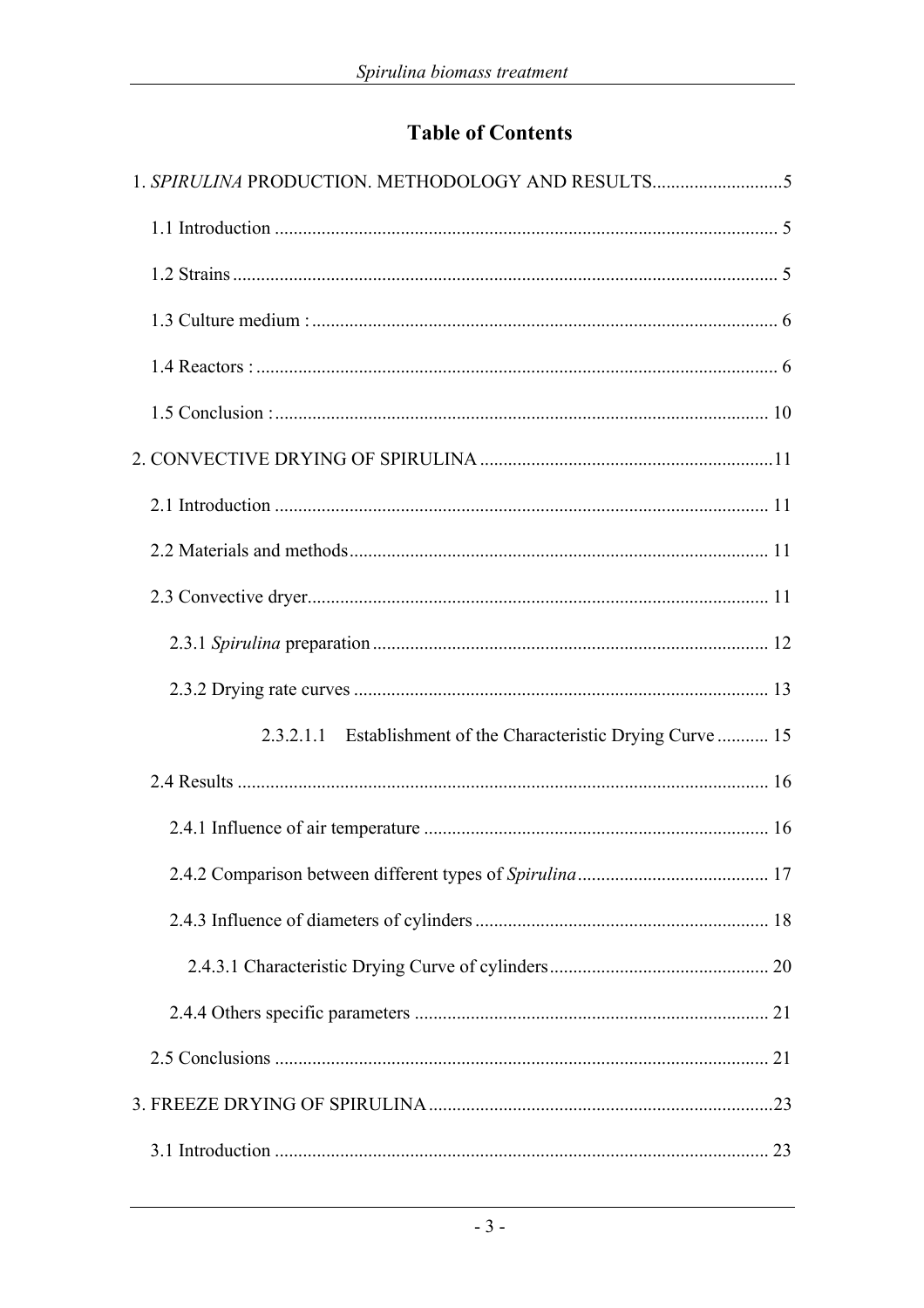# **Table of Contents**

| 1. SPIRULINA PRODUCTION. METHODOLOGY AND RESULTS               |  |
|----------------------------------------------------------------|--|
|                                                                |  |
|                                                                |  |
|                                                                |  |
|                                                                |  |
|                                                                |  |
|                                                                |  |
|                                                                |  |
|                                                                |  |
|                                                                |  |
|                                                                |  |
|                                                                |  |
| 2.3.2.1.1 Establishment of the Characteristic Drying Curve  15 |  |
|                                                                |  |
|                                                                |  |
|                                                                |  |
|                                                                |  |
|                                                                |  |
|                                                                |  |
|                                                                |  |
|                                                                |  |
|                                                                |  |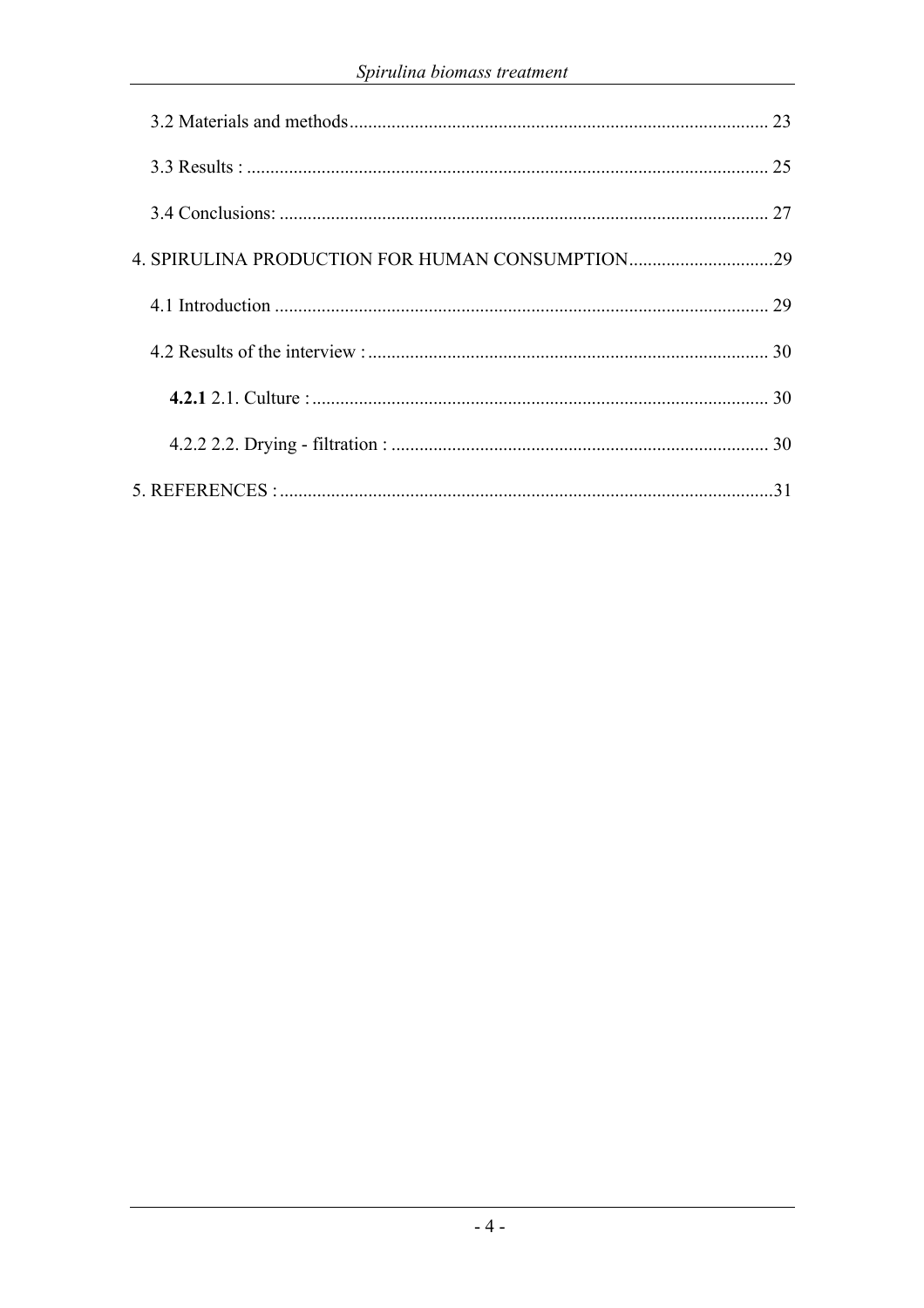|  | 23 |
|--|----|
|  |    |
|  |    |
|  |    |
|  |    |
|  |    |
|  |    |
|  | 30 |
|  | 31 |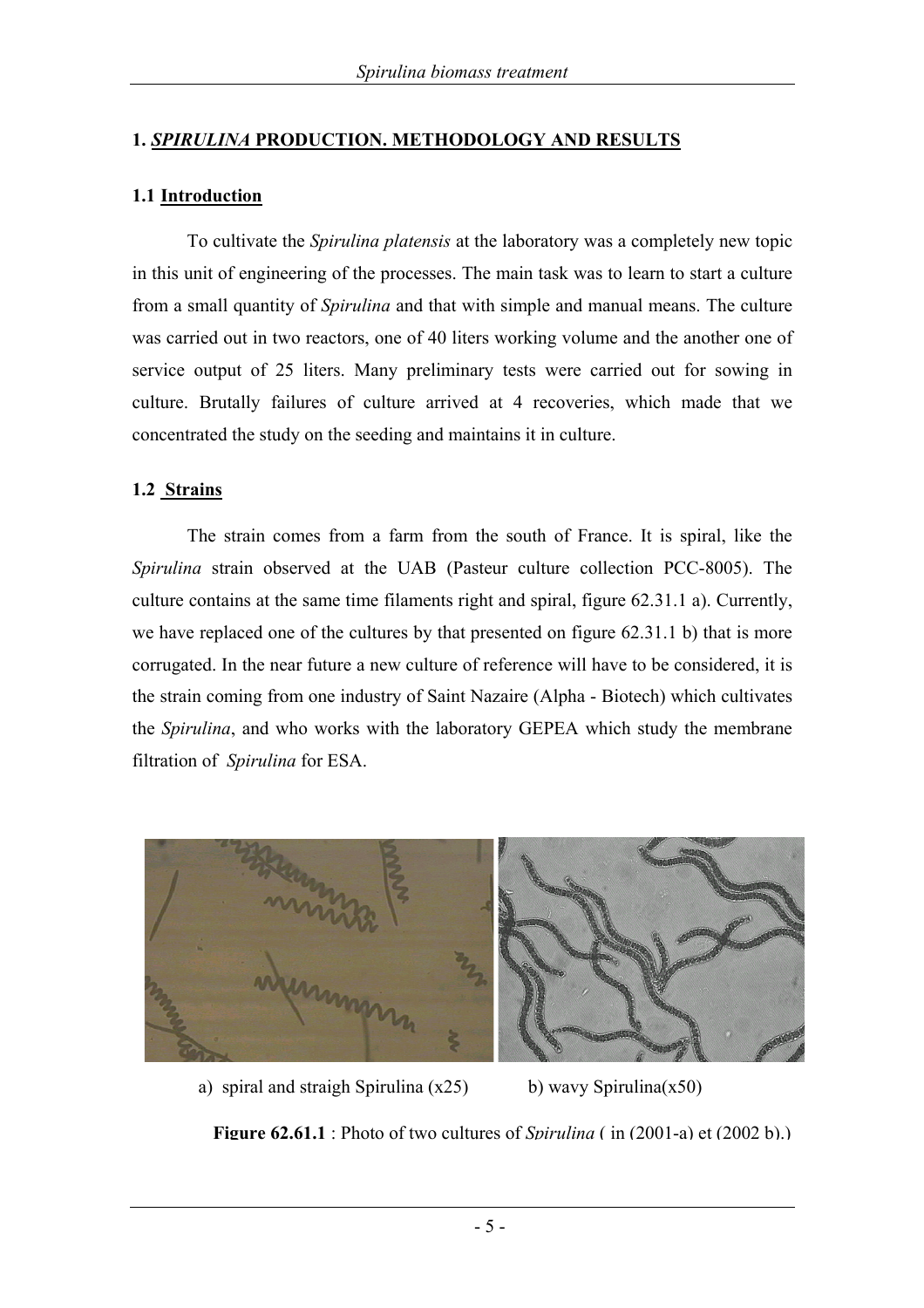#### **1.** *SPIRULINA* **PRODUCTION. METHODOLOGY AND RESULTS**

#### **1.1 Introduction**

To cultivate the *Spirulina platensis* at the laboratory was a completely new topic in this unit of engineering of the processes. The main task was to learn to start a culture from a small quantity of *Spirulina* and that with simple and manual means. The culture was carried out in two reactors, one of 40 liters working volume and the another one of service output of 25 liters. Many preliminary tests were carried out for sowing in culture. Brutally failures of culture arrived at 4 recoveries, which made that we concentrated the study on the seeding and maintains it in culture.

#### **1.2 Strains**

The strain comes from a farm from the south of France. It is spiral, like the *Spirulina* strain observed at the UAB (Pasteur culture collection PCC-8005). The culture contains at the same time filaments right and spiral, figure 62.31.1 a). Currently, we have replaced one of the cultures by that presented on figure 62.31.1 b) that is more corrugated. In the near future a new culture of reference will have to be considered, it is the strain coming from one industry of Saint Nazaire (Alpha - Biotech) which cultivates the *Spirulina*, and who works with the laboratory GEPEA which study the membrane filtration of *Spirulina* for ESA.



a) spiral and straigh Spirulina  $(x25)$  b) wavy Spirulina $(x50)$ 

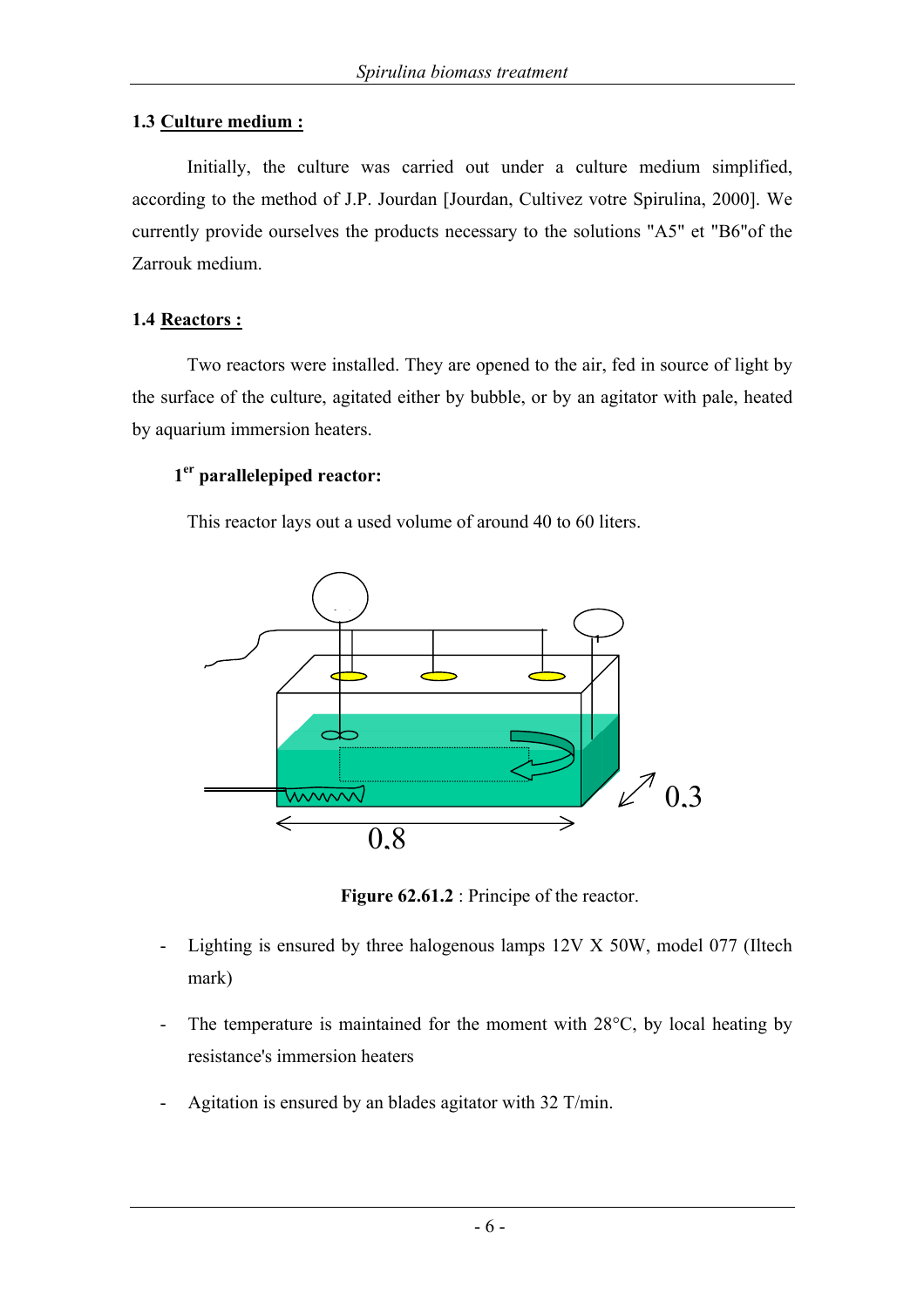#### **1.3 Culture medium :**

Initially, the culture was carried out under a culture medium simplified, according to the method of J.P. Jourdan [Jourdan, Cultivez votre Spirulina, 2000]. We currently provide ourselves the products necessary to the solutions "A5" et "B6"of the Zarrouk medium.

#### **1.4 Reactors :**

Two reactors were installed. They are opened to the air, fed in source of light by the surface of the culture, agitated either by bubble, or by an agitator with pale, heated by aquarium immersion heaters.

#### **1er parallelepiped reactor:**

This reactor lays out a used volume of around 40 to 60 liters.



**Figure 62.61.2** : Principe of the reactor.

- Lighting is ensured by three halogenous lamps 12V X 50W, model 077 (Iltech mark)
- The temperature is maintained for the moment with 28<sup>o</sup>C, by local heating by resistance's immersion heaters
- Agitation is ensured by an blades agitator with 32 T/min.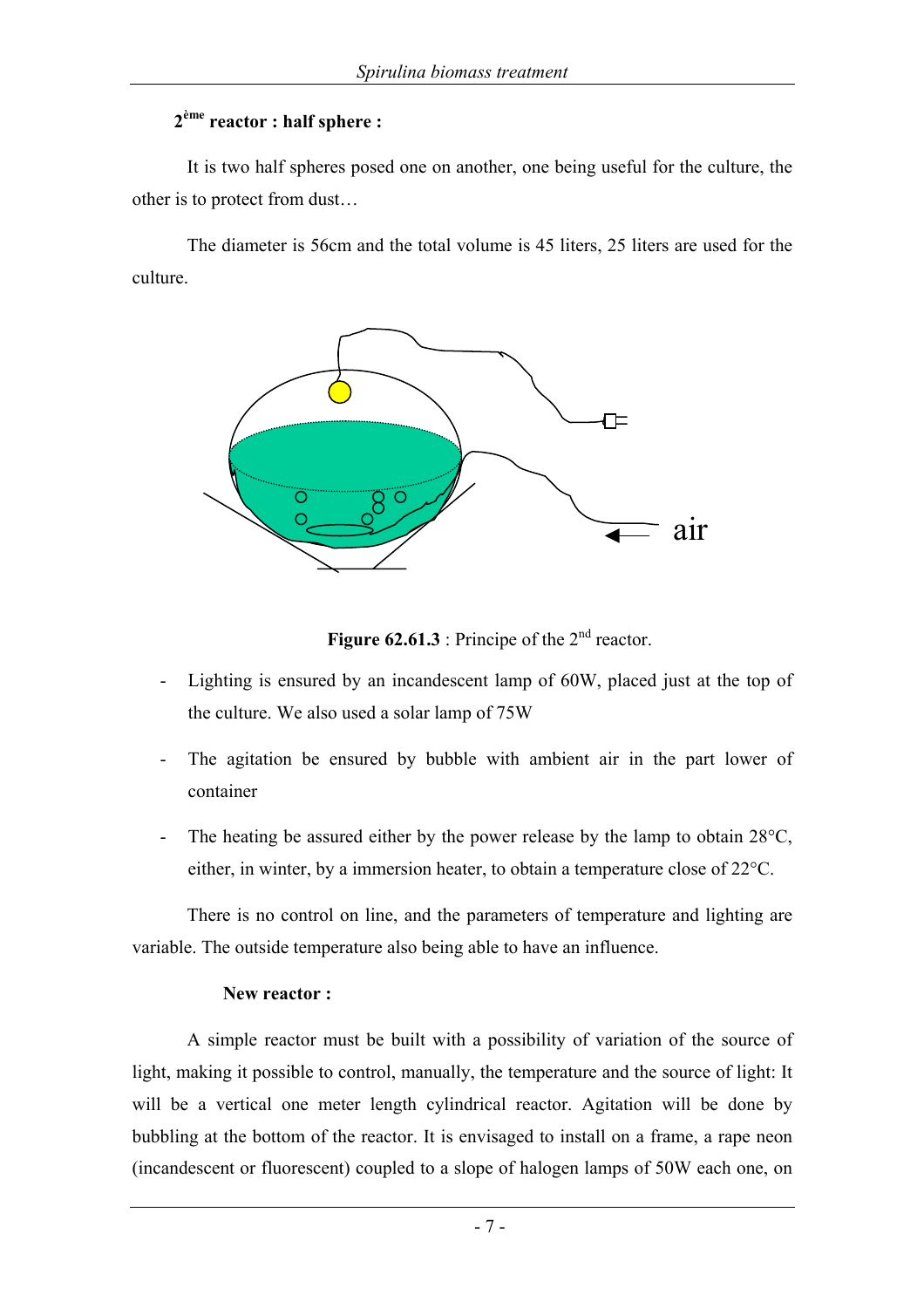#### **2ème reactor : half sphere :**

It is two half spheres posed one on another, one being useful for the culture, the other is to protect from dust…

The diameter is 56cm and the total volume is 45 liters, 25 liters are used for the culture.



**Figure 62.61.3** : Principe of the  $2^{nd}$  reactor.

- Lighting is ensured by an incandescent lamp of 60W, placed just at the top of the culture. We also used a solar lamp of 75W
- The agitation be ensured by bubble with ambient air in the part lower of container
- The heating be assured either by the power release by the lamp to obtain  $28^{\circ}$ C, either, in winter, by a immersion heater, to obtain a temperature close of 22°C.

There is no control on line, and the parameters of temperature and lighting are variable. The outside temperature also being able to have an influence.

#### **New reactor :**

A simple reactor must be built with a possibility of variation of the source of light, making it possible to control, manually, the temperature and the source of light: It will be a vertical one meter length cylindrical reactor. Agitation will be done by bubbling at the bottom of the reactor. It is envisaged to install on a frame, a rape neon (incandescent or fluorescent) coupled to a slope of halogen lamps of 50W each one, on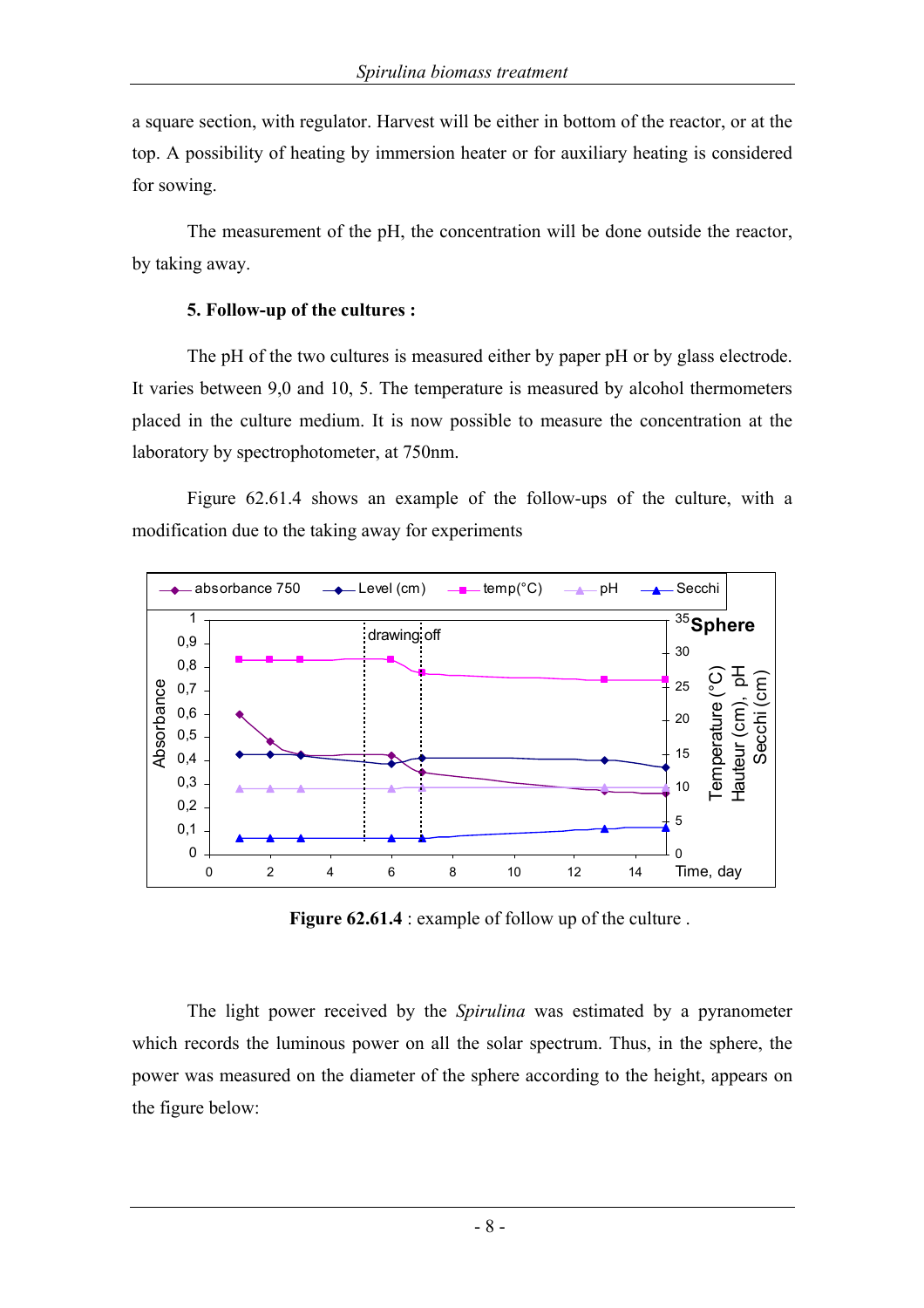a square section, with regulator. Harvest will be either in bottom of the reactor, or at the top. A possibility of heating by immersion heater or for auxiliary heating is considered for sowing.

The measurement of the pH, the concentration will be done outside the reactor, by taking away.

#### **5. Follow-up of the cultures :**

The pH of the two cultures is measured either by paper pH or by glass electrode. It varies between 9,0 and 10, 5. The temperature is measured by alcohol thermometers placed in the culture medium. It is now possible to measure the concentration at the laboratory by spectrophotometer, at 750nm.

Figure 62.61.4 shows an example of the follow-ups of the culture, with a modification due to the taking away for experiments



**Figure 62.61.4** : example of follow up of the culture.

The light power received by the *Spirulina* was estimated by a pyranometer which records the luminous power on all the solar spectrum. Thus, in the sphere, the power was measured on the diameter of the sphere according to the height, appears on the figure below: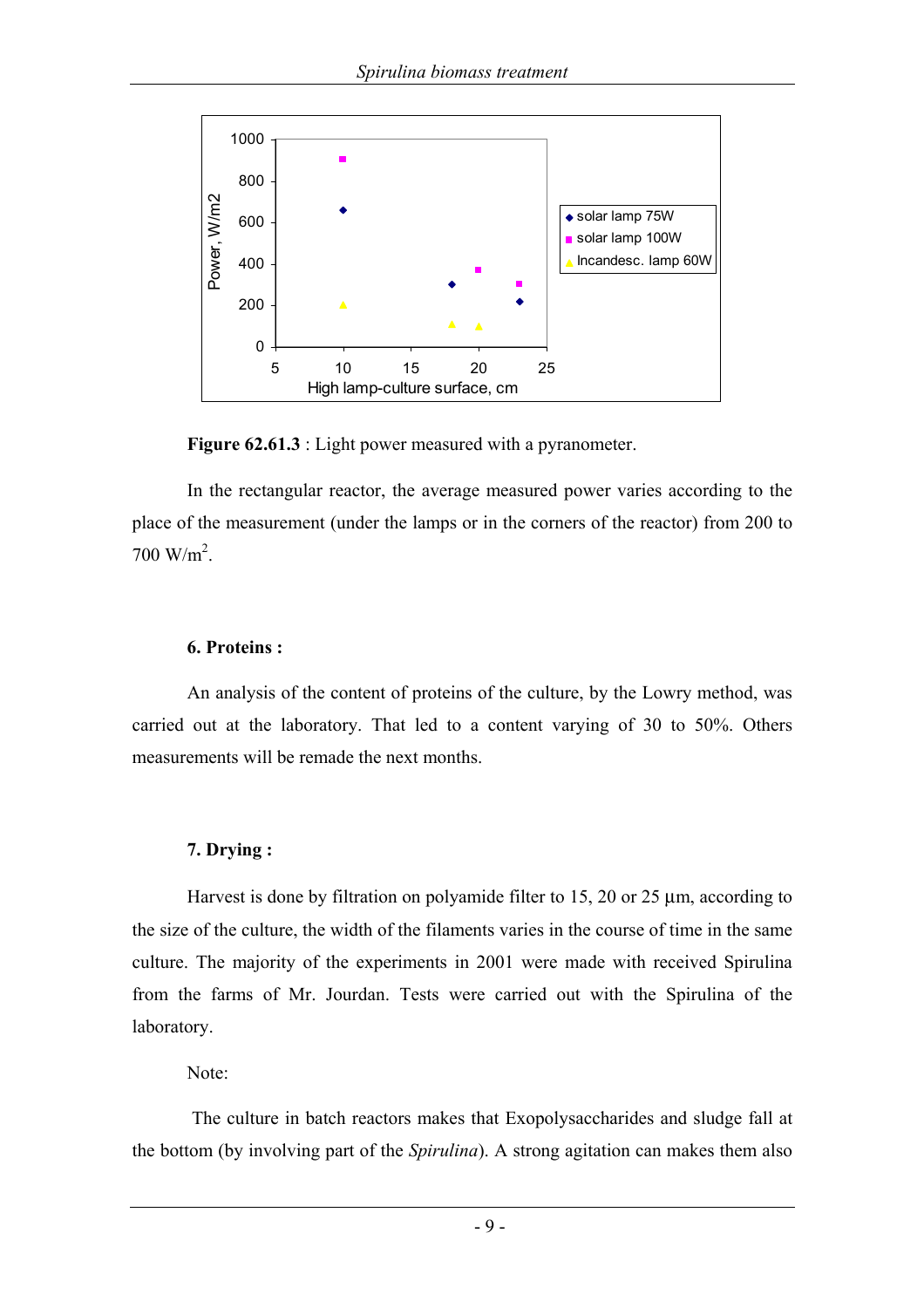

**Figure 62.61.3** : Light power measured with a pyranometer.

In the rectangular reactor, the average measured power varies according to the place of the measurement (under the lamps or in the corners of the reactor) from 200 to  $700 \text{ W/m}^2$ .

#### **6. Proteins :**

An analysis of the content of proteins of the culture, by the Lowry method, was carried out at the laboratory. That led to a content varying of 30 to 50%. Others measurements will be remade the next months.

## **7. Drying :**

Harvest is done by filtration on polyamide filter to 15, 20 or 25  $\mu$ m, according to the size of the culture, the width of the filaments varies in the course of time in the same culture. The majority of the experiments in 2001 were made with received Spirulina from the farms of Mr. Jourdan. Tests were carried out with the Spirulina of the laboratory.

Note:

 The culture in batch reactors makes that Exopolysaccharides and sludge fall at the bottom (by involving part of the *Spirulina*). A strong agitation can makes them also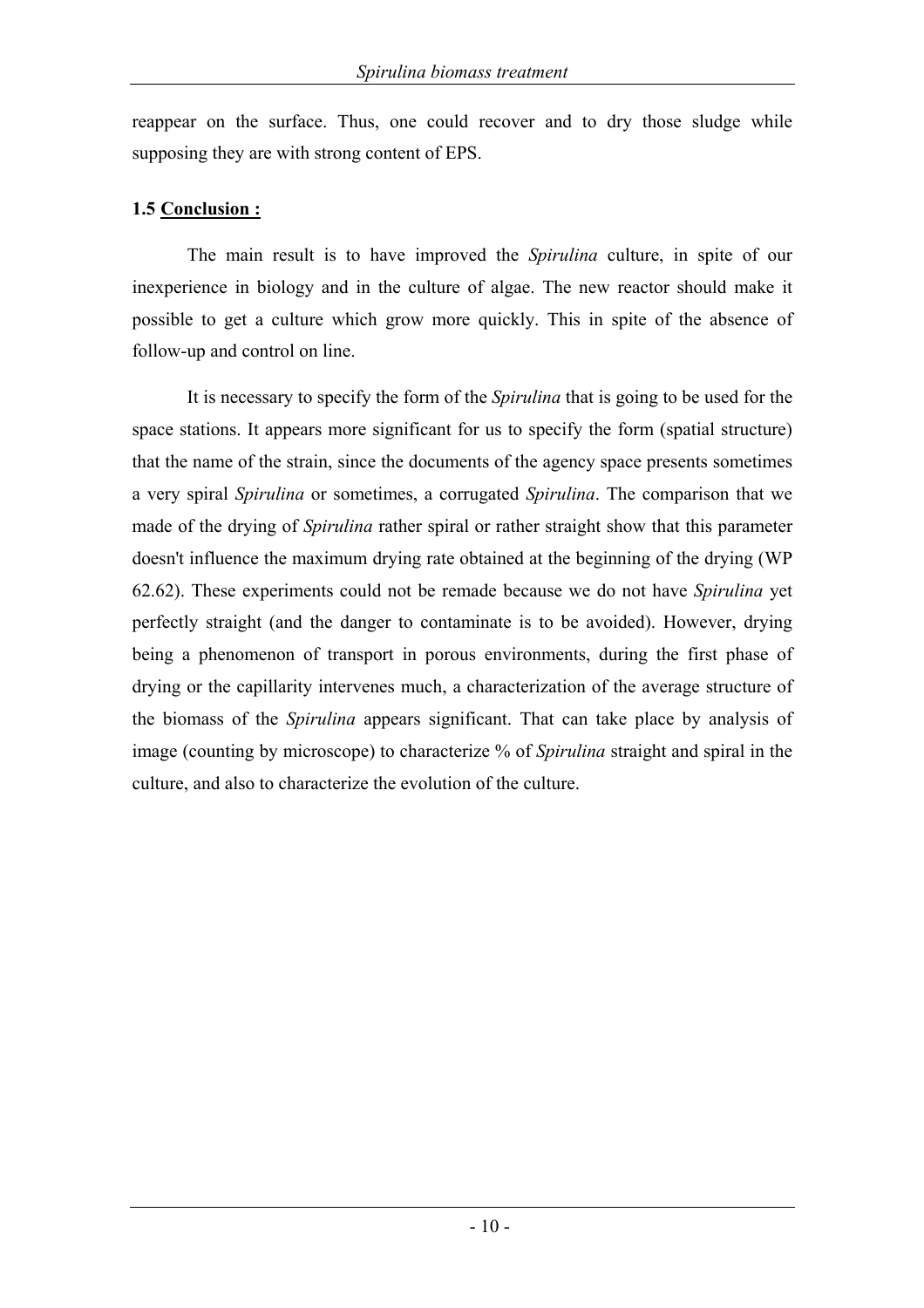reappear on the surface. Thus, one could recover and to dry those sludge while supposing they are with strong content of EPS.

#### **1.5 Conclusion :**

The main result is to have improved the *Spirulina* culture, in spite of our inexperience in biology and in the culture of algae. The new reactor should make it possible to get a culture which grow more quickly. This in spite of the absence of follow-up and control on line.

It is necessary to specify the form of the *Spirulina* that is going to be used for the space stations. It appears more significant for us to specify the form (spatial structure) that the name of the strain, since the documents of the agency space presents sometimes a very spiral *Spirulina* or sometimes, a corrugated *Spirulina*. The comparison that we made of the drying of *Spirulina* rather spiral or rather straight show that this parameter doesn't influence the maximum drying rate obtained at the beginning of the drying (WP 62.62). These experiments could not be remade because we do not have *Spirulina* yet perfectly straight (and the danger to contaminate is to be avoided). However, drying being a phenomenon of transport in porous environments, during the first phase of drying or the capillarity intervenes much, a characterization of the average structure of the biomass of the *Spirulina* appears significant. That can take place by analysis of image (counting by microscope) to characterize % of *Spirulina* straight and spiral in the culture, and also to characterize the evolution of the culture.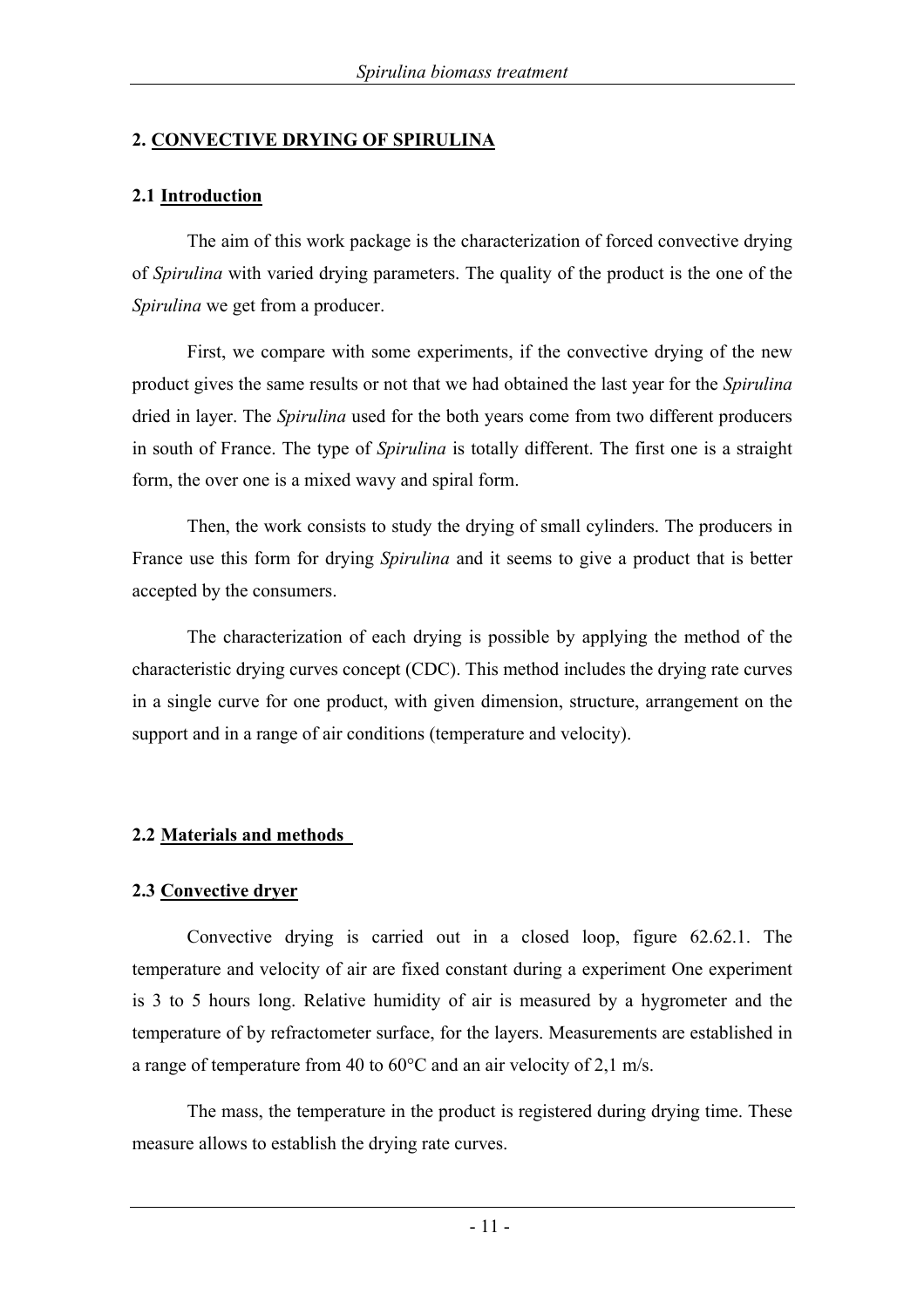#### **2. CONVECTIVE DRYING OF SPIRULINA**

#### **2.1 Introduction**

The aim of this work package is the characterization of forced convective drying of *Spirulina* with varied drying parameters. The quality of the product is the one of the *Spirulina* we get from a producer.

First, we compare with some experiments, if the convective drying of the new product gives the same results or not that we had obtained the last year for the *Spirulina* dried in layer. The *Spirulina* used for the both years come from two different producers in south of France. The type of *Spirulina* is totally different. The first one is a straight form, the over one is a mixed wavy and spiral form.

Then, the work consists to study the drying of small cylinders. The producers in France use this form for drying *Spirulina* and it seems to give a product that is better accepted by the consumers.

The characterization of each drying is possible by applying the method of the characteristic drying curves concept (CDC). This method includes the drying rate curves in a single curve for one product, with given dimension, structure, arrangement on the support and in a range of air conditions (temperature and velocity).

## **2.2 Materials and methods**

## **2.3 Convective dryer**

Convective drying is carried out in a closed loop, figure 62.62.1. The temperature and velocity of air are fixed constant during a experiment One experiment is 3 to 5 hours long. Relative humidity of air is measured by a hygrometer and the temperature of by refractometer surface, for the layers. Measurements are established in a range of temperature from 40 to 60°C and an air velocity of 2,1 m/s.

The mass, the temperature in the product is registered during drying time. These measure allows to establish the drying rate curves.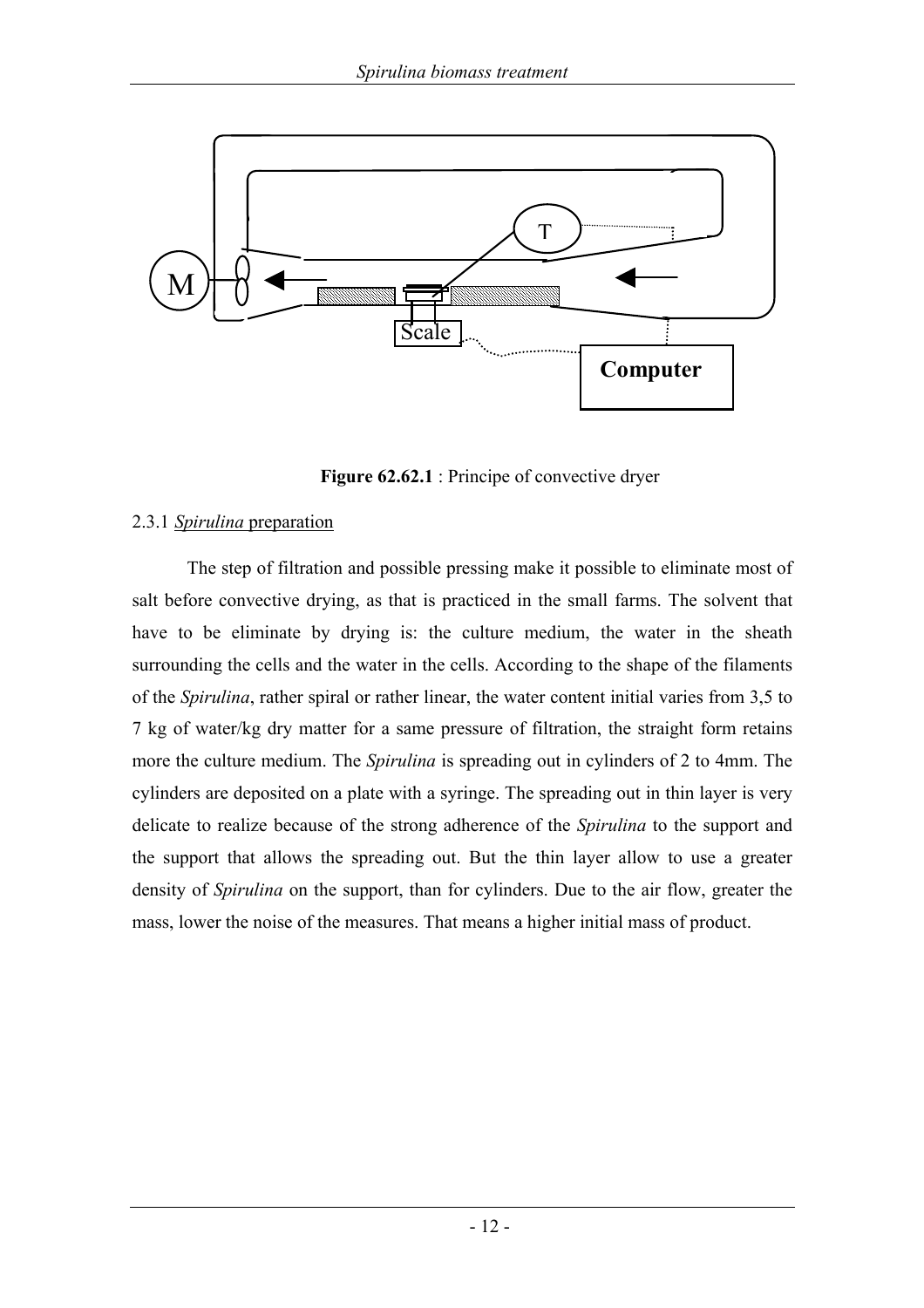

Figure 62.62.1 : Principe of convective dryer

#### 2.3.1 *Spirulina* preparation

The step of filtration and possible pressing make it possible to eliminate most of salt before convective drying, as that is practiced in the small farms. The solvent that have to be eliminate by drying is: the culture medium, the water in the sheath surrounding the cells and the water in the cells. According to the shape of the filaments of the *Spirulina*, rather spiral or rather linear, the water content initial varies from 3,5 to 7 kg of water/kg dry matter for a same pressure of filtration, the straight form retains more the culture medium. The *Spirulina* is spreading out in cylinders of 2 to 4mm. The cylinders are deposited on a plate with a syringe. The spreading out in thin layer is very delicate to realize because of the strong adherence of the *Spirulina* to the support and the support that allows the spreading out. But the thin layer allow to use a greater density of *Spirulina* on the support, than for cylinders. Due to the air flow, greater the mass, lower the noise of the measures. That means a higher initial mass of product.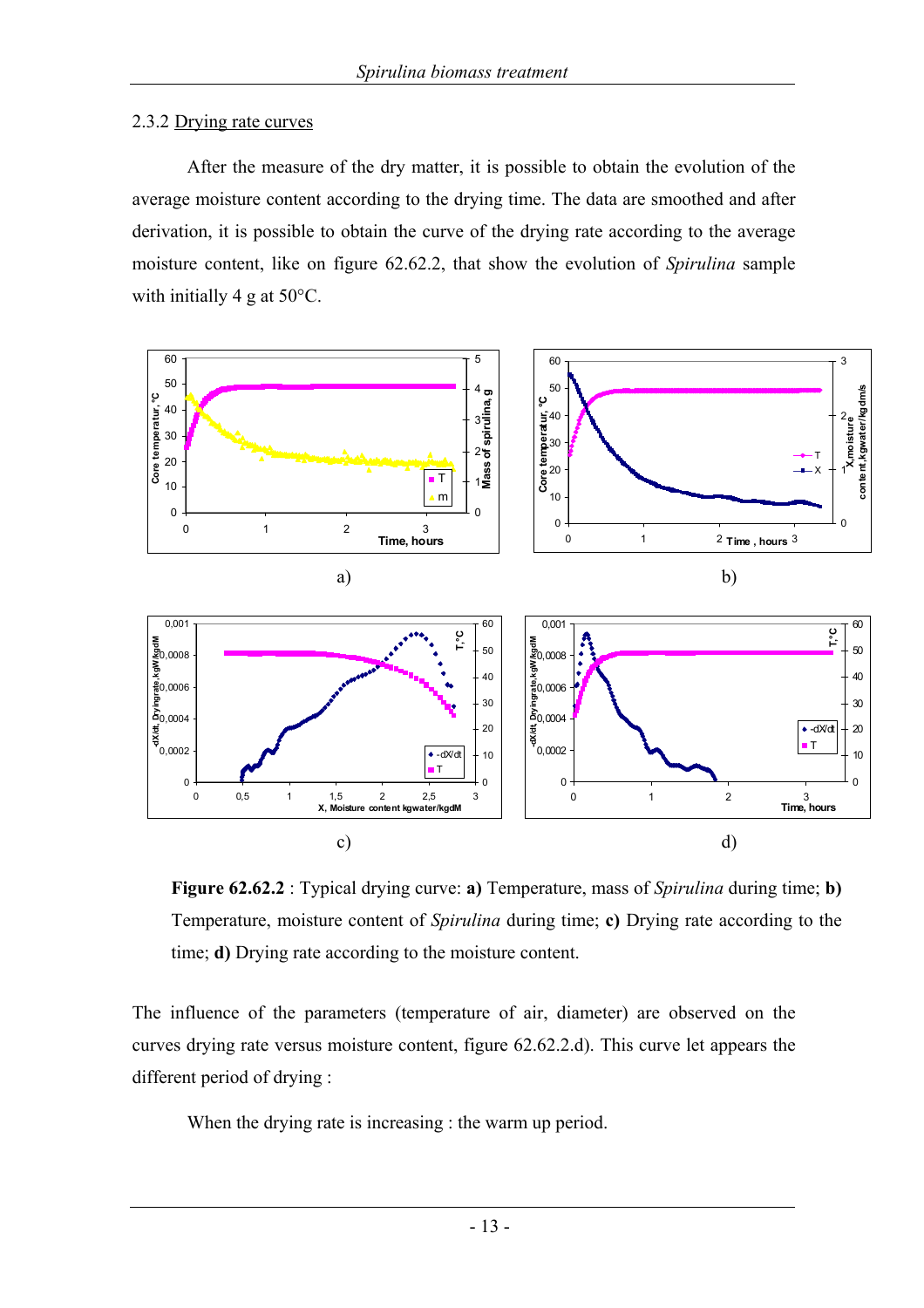#### 2.3.2 Drying rate curves

After the measure of the dry matter, it is possible to obtain the evolution of the average moisture content according to the drying time. The data are smoothed and after derivation, it is possible to obtain the curve of the drying rate according to the average moisture content, like on figure 62.62.2, that show the evolution of *Spirulina* sample with initially 4 g at 50°C.



**Figure 62.62.2** : Typical drying curve: **a)** Temperature, mass of *Spirulina* during time; **b)** Temperature, moisture content of *Spirulina* during time; **c)** Drying rate according to the time; **d)** Drying rate according to the moisture content.

The influence of the parameters (temperature of air, diameter) are observed on the curves drying rate versus moisture content, figure 62.62.2.d). This curve let appears the different period of drying :

When the drying rate is increasing : the warm up period.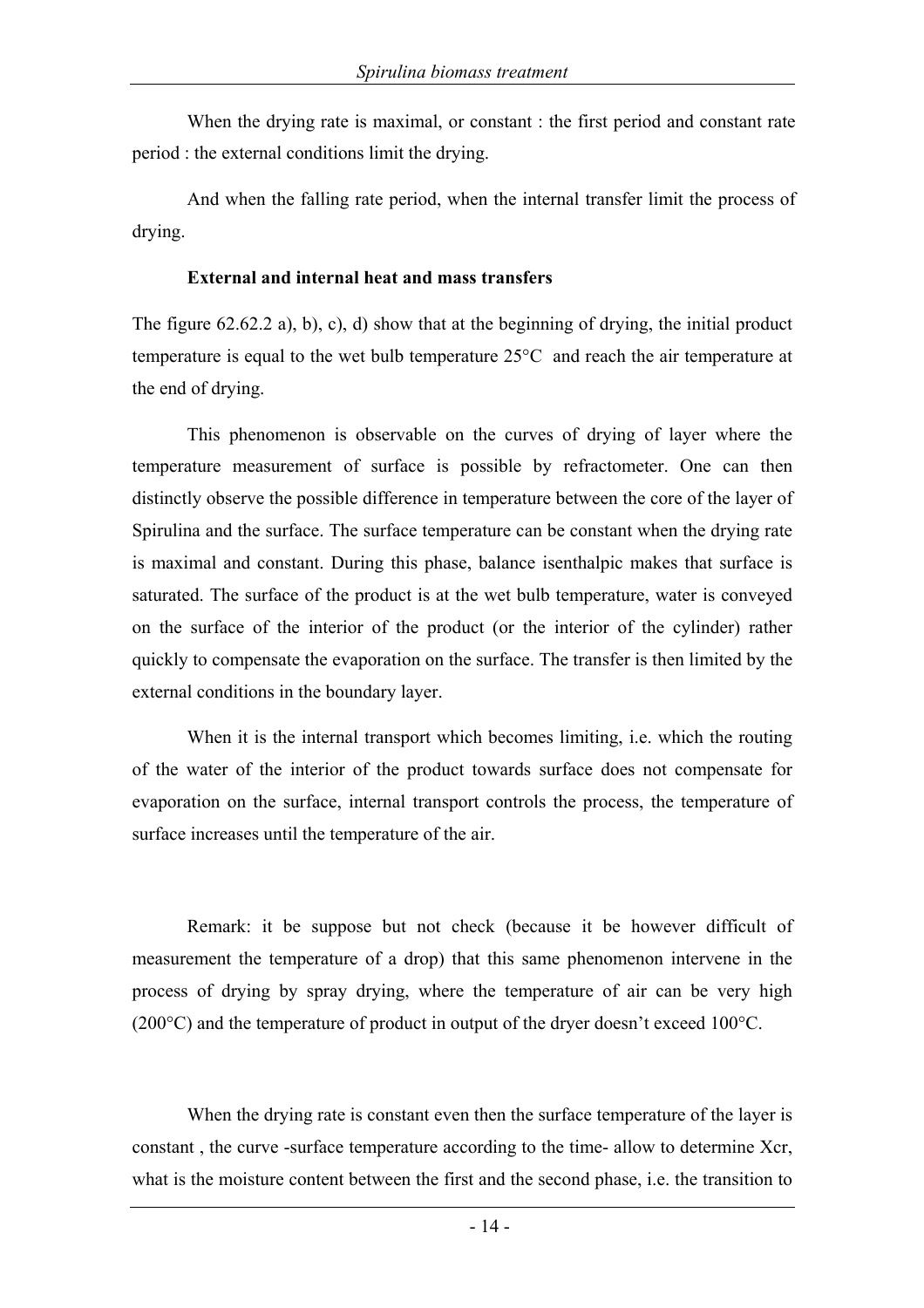When the drying rate is maximal, or constant : the first period and constant rate period : the external conditions limit the drying.

And when the falling rate period, when the internal transfer limit the process of drying.

#### **External and internal heat and mass transfers**

The figure 62.62.2 a), b), c), d) show that at the beginning of drying, the initial product temperature is equal to the wet bulb temperature 25°C and reach the air temperature at the end of drying.

This phenomenon is observable on the curves of drying of layer where the temperature measurement of surface is possible by refractometer. One can then distinctly observe the possible difference in temperature between the core of the layer of Spirulina and the surface. The surface temperature can be constant when the drying rate is maximal and constant. During this phase, balance isenthalpic makes that surface is saturated. The surface of the product is at the wet bulb temperature, water is conveyed on the surface of the interior of the product (or the interior of the cylinder) rather quickly to compensate the evaporation on the surface. The transfer is then limited by the external conditions in the boundary layer.

When it is the internal transport which becomes limiting, i.e. which the routing of the water of the interior of the product towards surface does not compensate for evaporation on the surface, internal transport controls the process, the temperature of surface increases until the temperature of the air.

Remark: it be suppose but not check (because it be however difficult of measurement the temperature of a drop) that this same phenomenon intervene in the process of drying by spray drying, where the temperature of air can be very high (200°C) and the temperature of product in output of the dryer doesn't exceed 100°C.

When the drying rate is constant even then the surface temperature of the layer is constant , the curve -surface temperature according to the time- allow to determine Xcr, what is the moisture content between the first and the second phase, i.e. the transition to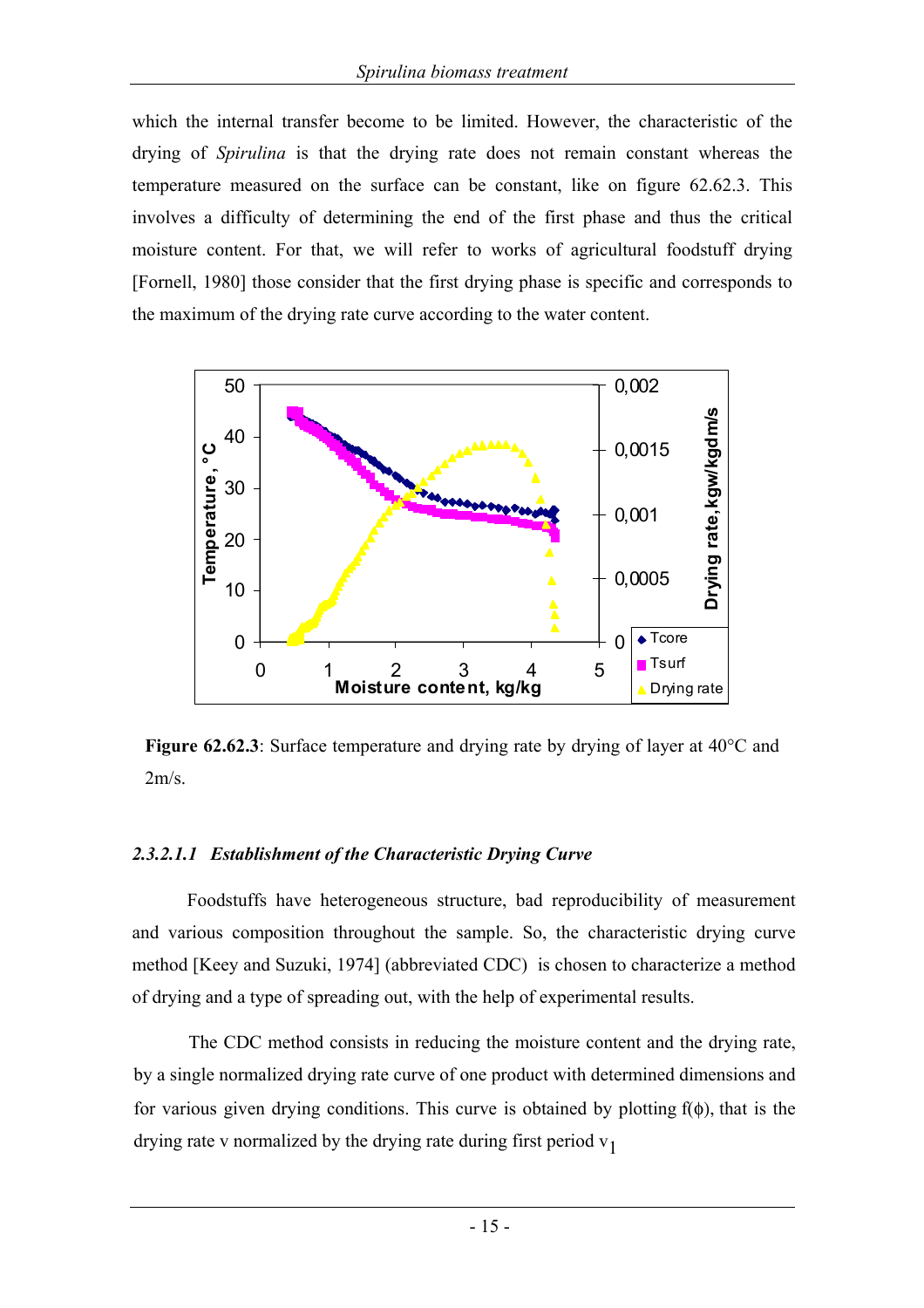which the internal transfer become to be limited. However, the characteristic of the drying of *Spirulina* is that the drying rate does not remain constant whereas the temperature measured on the surface can be constant, like on figure 62.62.3. This involves a difficulty of determining the end of the first phase and thus the critical moisture content. For that, we will refer to works of agricultural foodstuff drying [Fornell, 1980] those consider that the first drying phase is specific and corresponds to the maximum of the drying rate curve according to the water content.



**Figure 62.62.3**: Surface temperature and drying rate by drying of layer at 40°C and  $2m/s$ .

#### *2.3.2.1.1 Establishment of the Characteristic Drying Curve*

Foodstuffs have heterogeneous structure, bad reproducibility of measurement and various composition throughout the sample. So, the characteristic drying curve method [Keey and Suzuki, 1974] (abbreviated CDC) is chosen to characterize a method of drying and a type of spreading out, with the help of experimental results.

The CDC method consists in reducing the moisture content and the drying rate, by a single normalized drying rate curve of one product with determined dimensions and for various given drying conditions. This curve is obtained by plotting  $f(\phi)$ , that is the drying rate v normalized by the drying rate during first period  $v_1$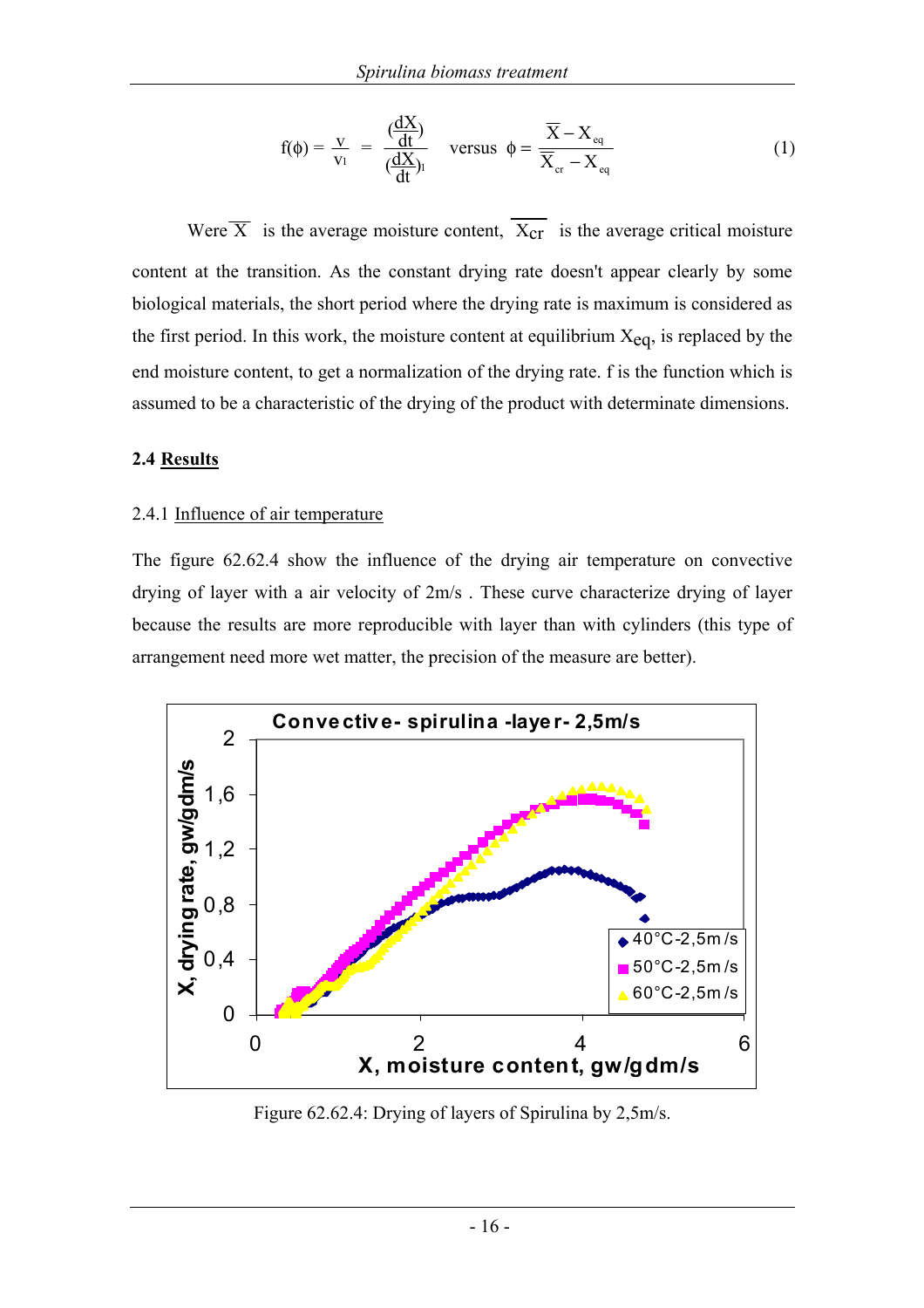$$
f(\phi) = \frac{v}{v_1} = \frac{(\frac{dX}{dt})}{(\frac{dX}{dt})_1} \quad \text{versus} \quad \phi = \frac{\overline{X} - X_{eq}}{\overline{X}_{cr} - X_{eq}} \tag{1}
$$

Were  $\overline{X}$  is the average moisture content,  $\overline{X_{cr}}$  is the average critical moisture content at the transition. As the constant drying rate doesn't appear clearly by some biological materials, the short period where the drying rate is maximum is considered as the first period. In this work, the moisture content at equilibrium  $X_{eq}$ , is replaced by the end moisture content, to get a normalization of the drying rate. f is the function which is assumed to be a characteristic of the drying of the product with determinate dimensions.

#### **2.4 Results**

#### 2.4.1 Influence of air temperature

The figure 62.62.4 show the influence of the drying air temperature on convective drying of layer with a air velocity of 2m/s . These curve characterize drying of layer because the results are more reproducible with layer than with cylinders (this type of arrangement need more wet matter, the precision of the measure are better).



Figure 62.62.4: Drying of layers of Spirulina by 2,5m/s.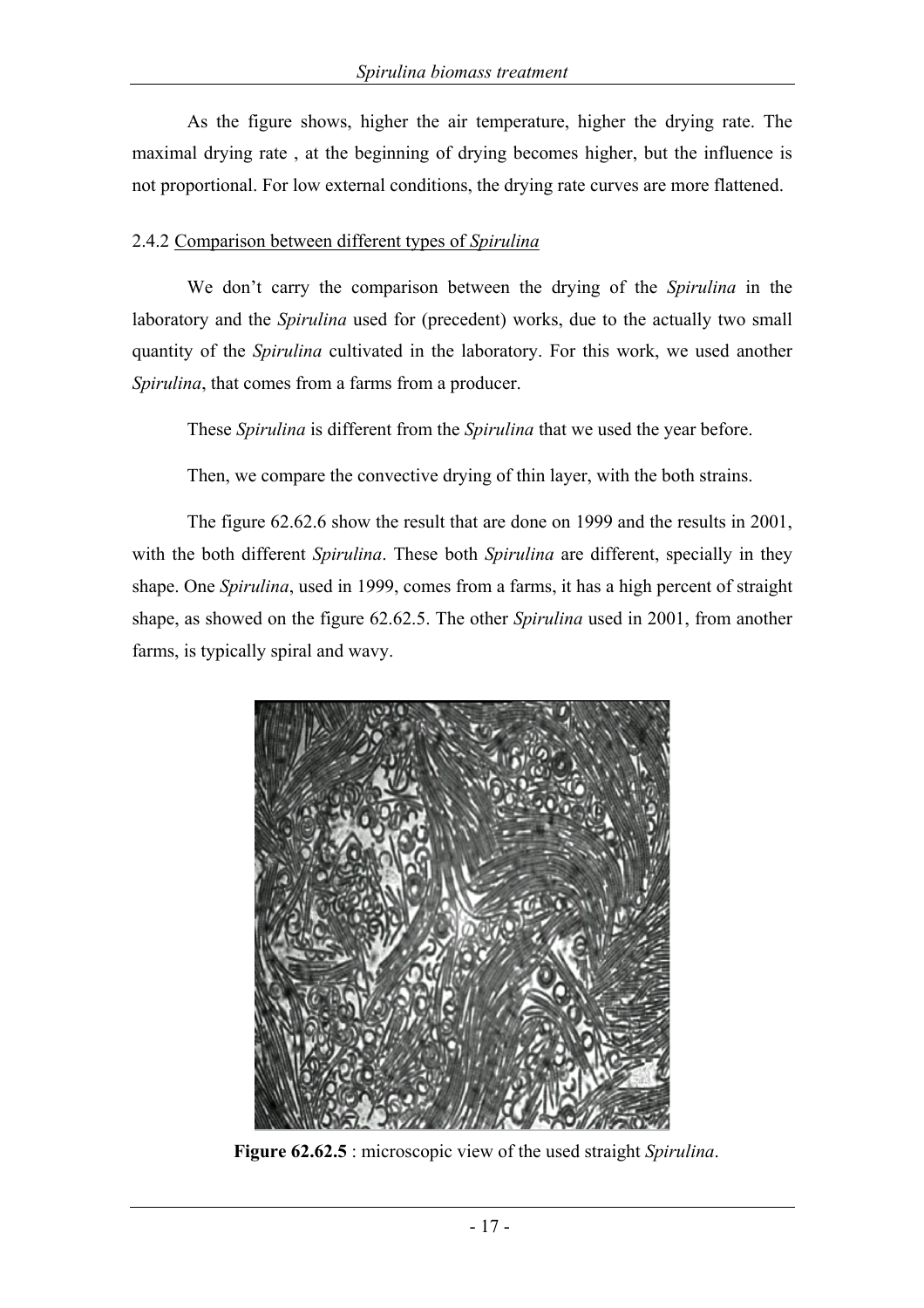As the figure shows, higher the air temperature, higher the drying rate. The maximal drying rate , at the beginning of drying becomes higher, but the influence is not proportional. For low external conditions, the drying rate curves are more flattened.

#### 2.4.2 Comparison between different types of *Spirulina*

We don't carry the comparison between the drying of the *Spirulina* in the laboratory and the *Spirulina* used for (precedent) works, due to the actually two small quantity of the *Spirulina* cultivated in the laboratory. For this work, we used another *Spirulina*, that comes from a farms from a producer.

These *Spirulina* is different from the *Spirulina* that we used the year before.

Then, we compare the convective drying of thin layer, with the both strains.

The figure 62.62.6 show the result that are done on 1999 and the results in 2001, with the both different *Spirulina*. These both *Spirulina* are different, specially in they shape. One *Spirulina*, used in 1999, comes from a farms, it has a high percent of straight shape, as showed on the figure 62.62.5. The other *Spirulina* used in 2001, from another farms, is typically spiral and wavy.



**Figure 62.62.5** : microscopic view of the used straight *Spirulina*.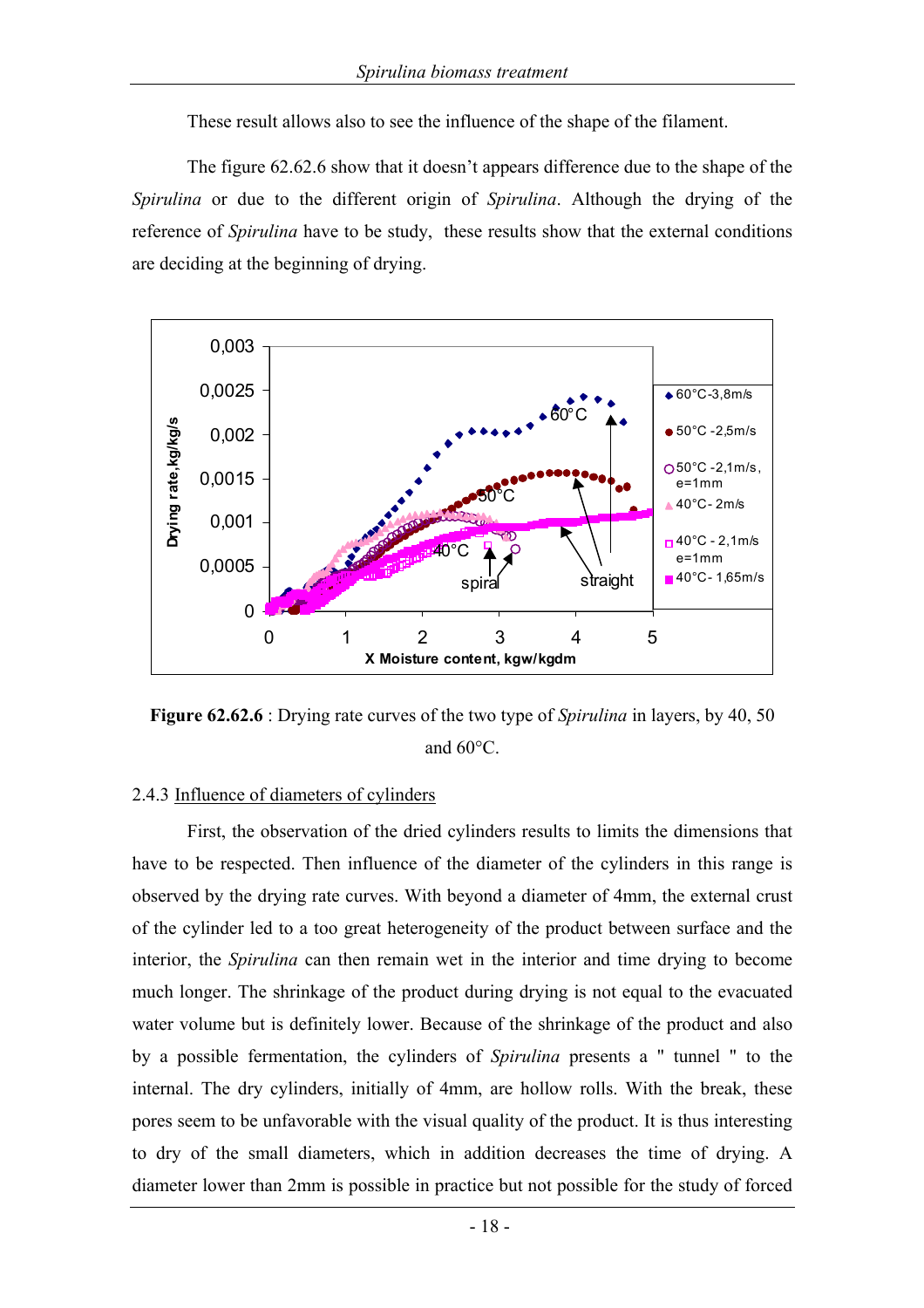These result allows also to see the influence of the shape of the filament.

The figure 62.62.6 show that it doesn't appears difference due to the shape of the *Spirulina* or due to the different origin of *Spirulina*. Although the drying of the reference of *Spirulina* have to be study, these results show that the external conditions are deciding at the beginning of drying.



**Figure 62.62.6** : Drying rate curves of the two type of *Spirulina* in layers, by 40, 50 and 60°C.

#### 2.4.3 Influence of diameters of cylinders

First, the observation of the dried cylinders results to limits the dimensions that have to be respected. Then influence of the diameter of the cylinders in this range is observed by the drying rate curves. With beyond a diameter of 4mm, the external crust of the cylinder led to a too great heterogeneity of the product between surface and the interior, the *Spirulina* can then remain wet in the interior and time drying to become much longer. The shrinkage of the product during drying is not equal to the evacuated water volume but is definitely lower. Because of the shrinkage of the product and also by a possible fermentation, the cylinders of *Spirulina* presents a " tunnel " to the internal. The dry cylinders, initially of 4mm, are hollow rolls. With the break, these pores seem to be unfavorable with the visual quality of the product. It is thus interesting to dry of the small diameters, which in addition decreases the time of drying. A diameter lower than 2mm is possible in practice but not possible for the study of forced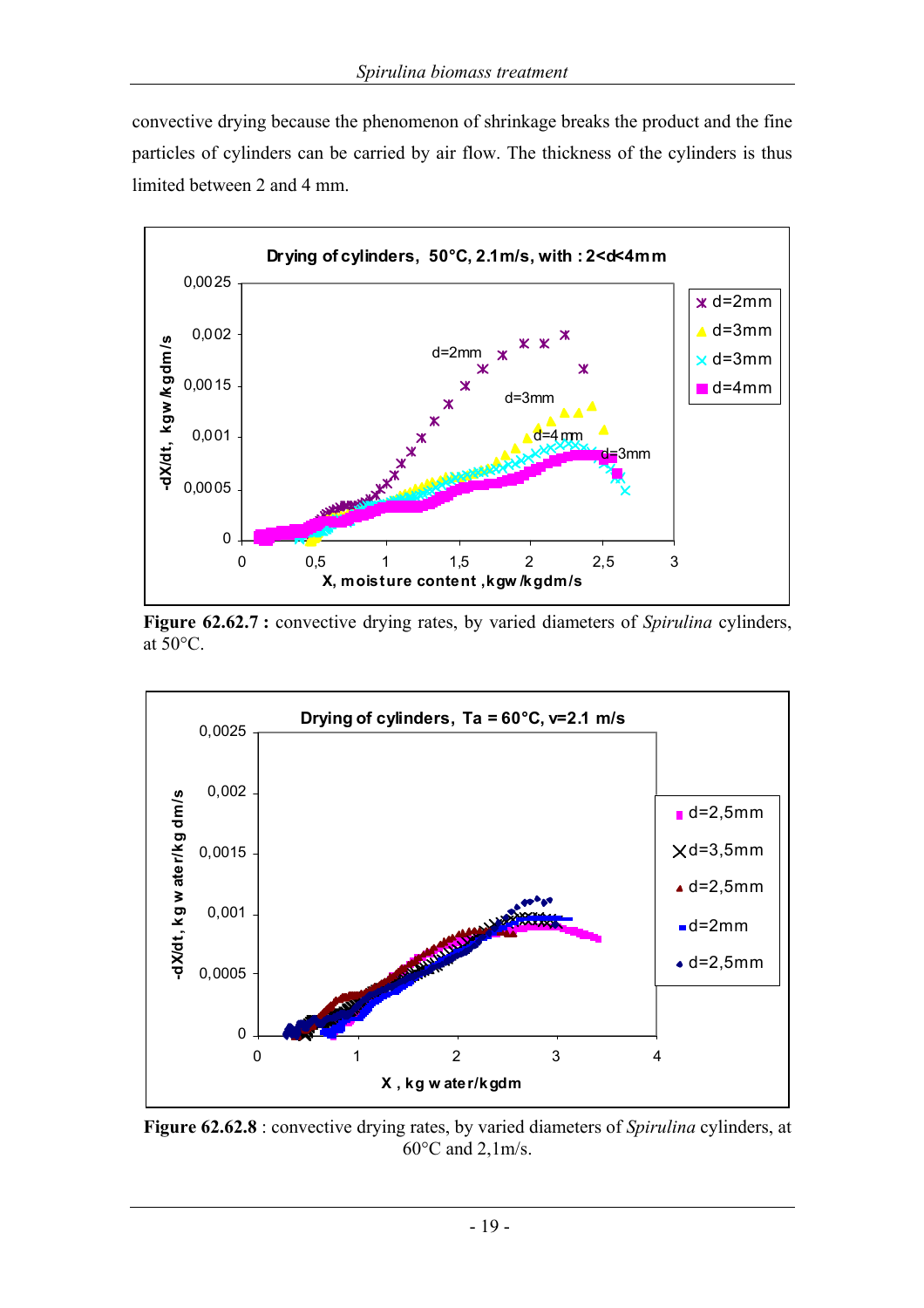convective drying because the phenomenon of shrinkage breaks the product and the fine particles of cylinders can be carried by air flow. The thickness of the cylinders is thus limited between 2 and 4 mm.



**Figure 62.62.7 :** convective drying rates, by varied diameters of *Spirulina* cylinders, at 50°C.



**Figure 62.62.8** : convective drying rates, by varied diameters of *Spirulina* cylinders, at 60°C and 2,1m/s.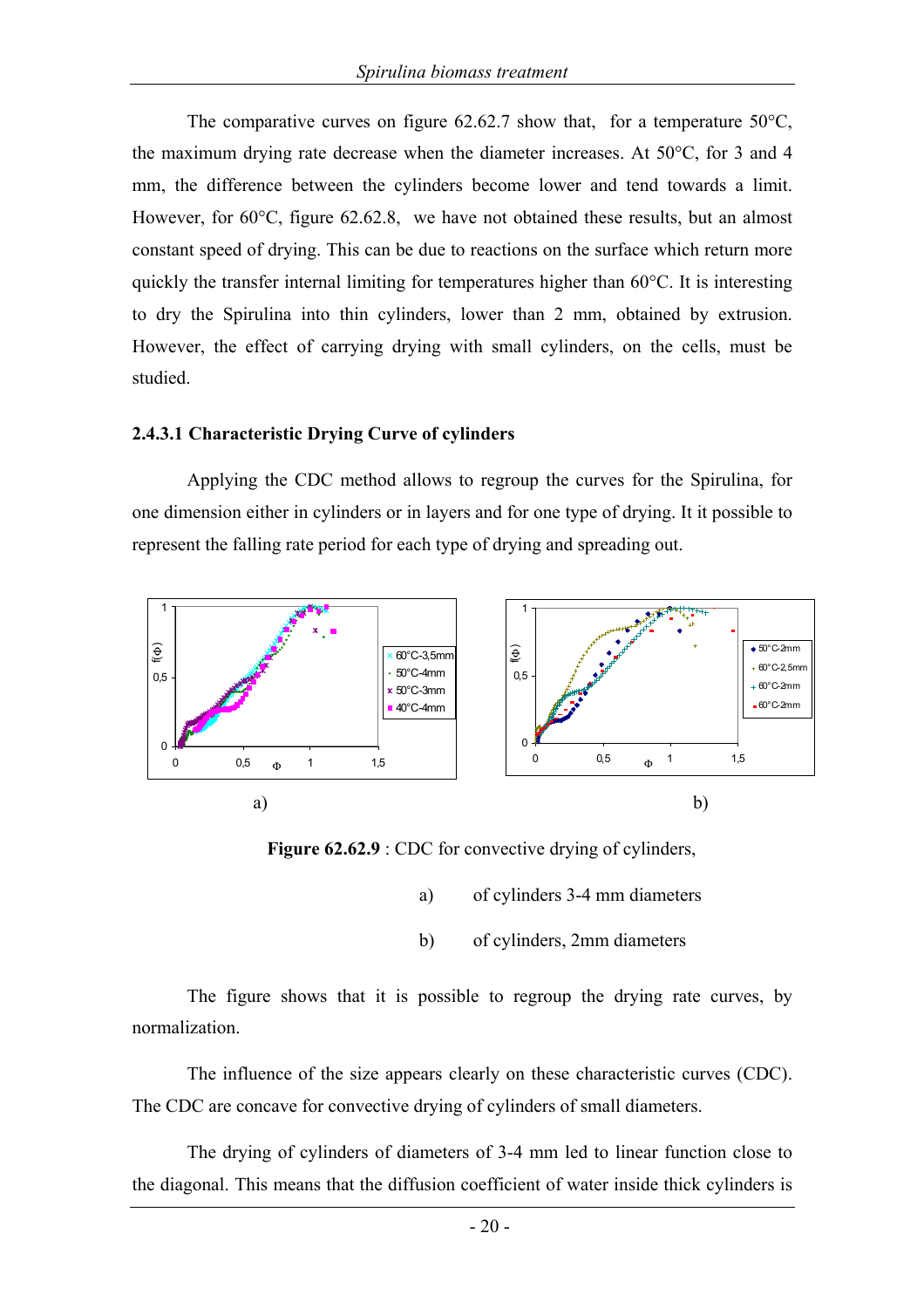The comparative curves on figure  $62.62.7$  show that, for a temperature  $50^{\circ}$ C, the maximum drying rate decrease when the diameter increases. At 50°C, for 3 and 4 mm, the difference between the cylinders become lower and tend towards a limit. However, for 60<sup>o</sup>C, figure 62.62.8, we have not obtained these results, but an almost constant speed of drying. This can be due to reactions on the surface which return more quickly the transfer internal limiting for temperatures higher than 60°C. It is interesting to dry the Spirulina into thin cylinders, lower than 2 mm, obtained by extrusion. However, the effect of carrying drying with small cylinders, on the cells, must be studied.

#### **2.4.3.1 Characteristic Drying Curve of cylinders**

Applying the CDC method allows to regroup the curves for the Spirulina, for one dimension either in cylinders or in layers and for one type of drying. It it possible to represent the falling rate period for each type of drying and spreading out.



**Figure 62.62.9** : CDC for convective drying of cylinders,

- a) of cylinders 3-4 mm diameters
- b) of cylinders, 2mm diameters

The figure shows that it is possible to regroup the drying rate curves, by normalization.

The influence of the size appears clearly on these characteristic curves (CDC). The CDC are concave for convective drying of cylinders of small diameters.

The drying of cylinders of diameters of 3-4 mm led to linear function close to the diagonal. This means that the diffusion coefficient of water inside thick cylinders is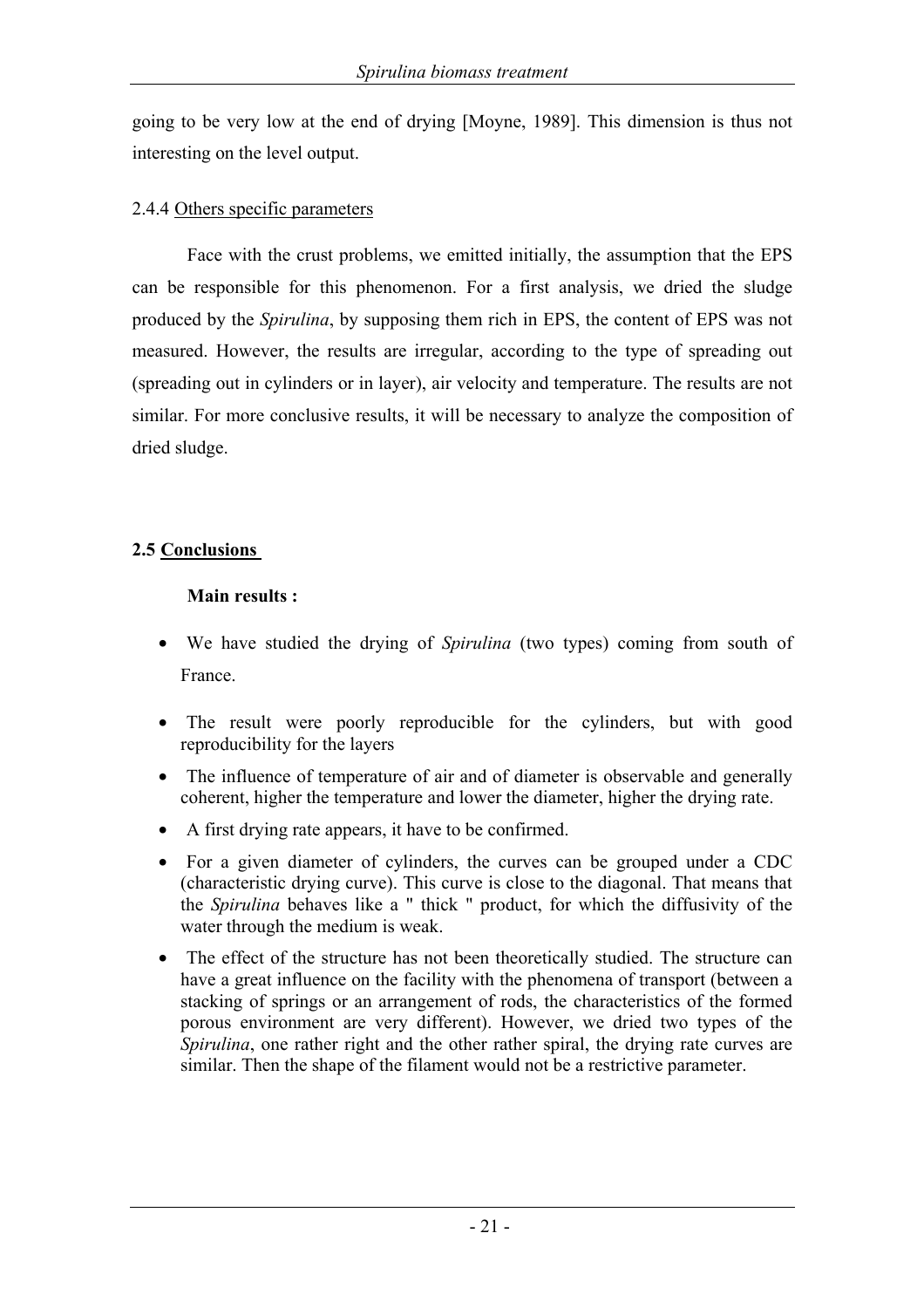going to be very low at the end of drying [Moyne, 1989]. This dimension is thus not interesting on the level output.

#### 2.4.4 Others specific parameters

Face with the crust problems, we emitted initially, the assumption that the EPS can be responsible for this phenomenon. For a first analysis, we dried the sludge produced by the *Spirulina*, by supposing them rich in EPS, the content of EPS was not measured. However, the results are irregular, according to the type of spreading out (spreading out in cylinders or in layer), air velocity and temperature. The results are not similar. For more conclusive results, it will be necessary to analyze the composition of dried sludge.

## **2.5 Conclusions**

## **Main results :**

- We have studied the drying of *Spirulina* (two types) coming from south of France.
- The result were poorly reproducible for the cylinders, but with good reproducibility for the layers
- The influence of temperature of air and of diameter is observable and generally coherent, higher the temperature and lower the diameter, higher the drying rate.
- A first drying rate appears, it have to be confirmed.
- For a given diameter of cylinders, the curves can be grouped under a CDC (characteristic drying curve). This curve is close to the diagonal. That means that the *Spirulina* behaves like a " thick " product, for which the diffusivity of the water through the medium is weak.
- The effect of the structure has not been theoretically studied. The structure can have a great influence on the facility with the phenomena of transport (between a stacking of springs or an arrangement of rods, the characteristics of the formed porous environment are very different). However, we dried two types of the *Spirulina*, one rather right and the other rather spiral, the drying rate curves are similar. Then the shape of the filament would not be a restrictive parameter.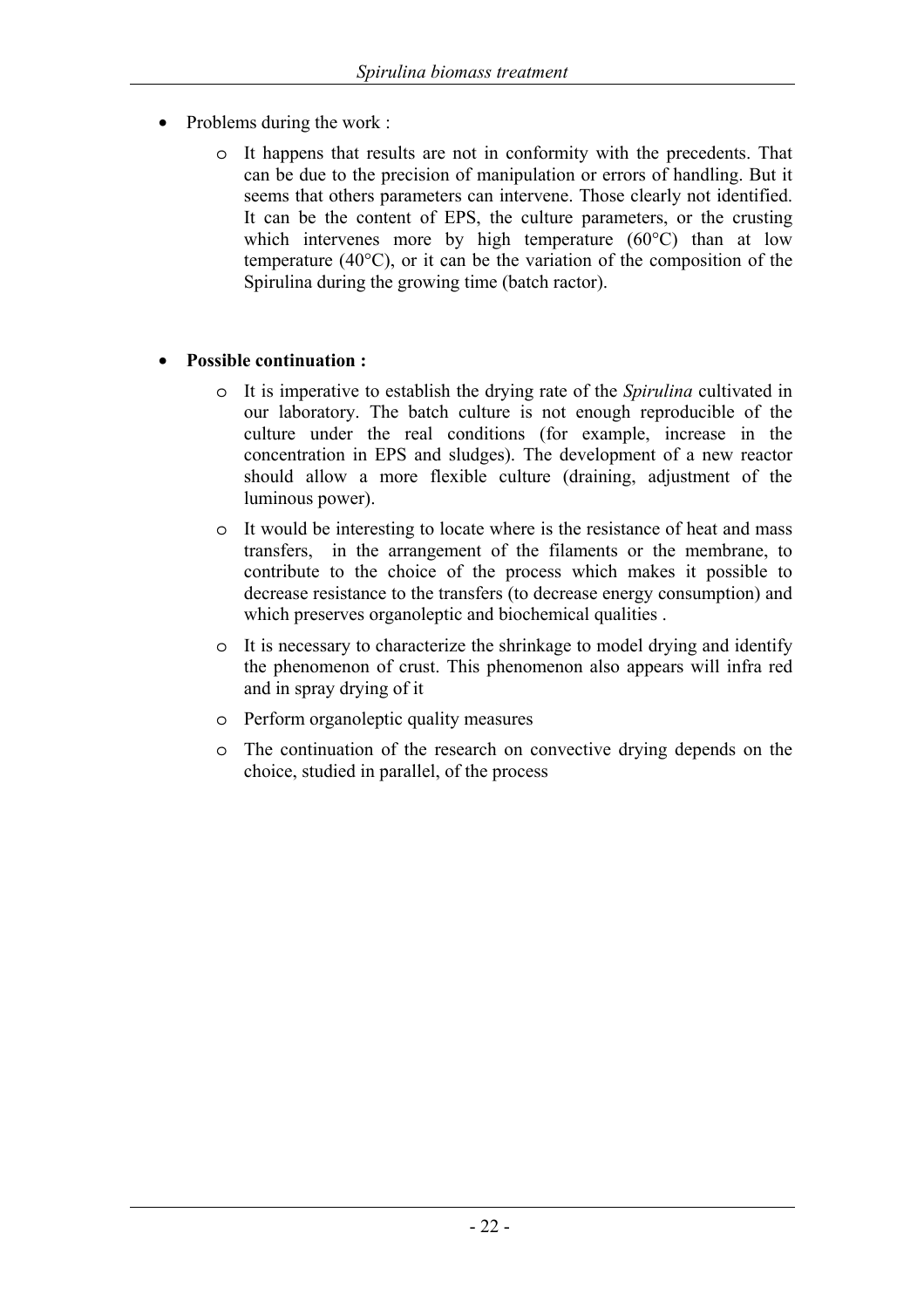- Problems during the work :
	- o It happens that results are not in conformity with the precedents. That can be due to the precision of manipulation or errors of handling. But it seems that others parameters can intervene. Those clearly not identified. It can be the content of EPS, the culture parameters, or the crusting which intervenes more by high temperature (60 °C) than at low temperature (40°C), or it can be the variation of the composition of the Spirulina during the growing time (batch ractor).

#### • **Possible continuation :**

- o It is imperative to establish the drying rate of the *Spirulina* cultivated in our laboratory. The batch culture is not enough reproducible of the culture under the real conditions (for example, increase in the concentration in EPS and sludges). The development of a new reactor should allow a more flexible culture (draining, adjustment of the luminous power).
- o It would be interesting to locate where is the resistance of heat and mass transfers, in the arrangement of the filaments or the membrane, to contribute to the choice of the process which makes it possible to decrease resistance to the transfers (to decrease energy consumption) and which preserves organoleptic and biochemical qualities .
- o It is necessary to characterize the shrinkage to model drying and identify the phenomenon of crust. This phenomenon also appears will infra red and in spray drying of it
- o Perform organoleptic quality measures
- o The continuation of the research on convective drying depends on the choice, studied in parallel, of the process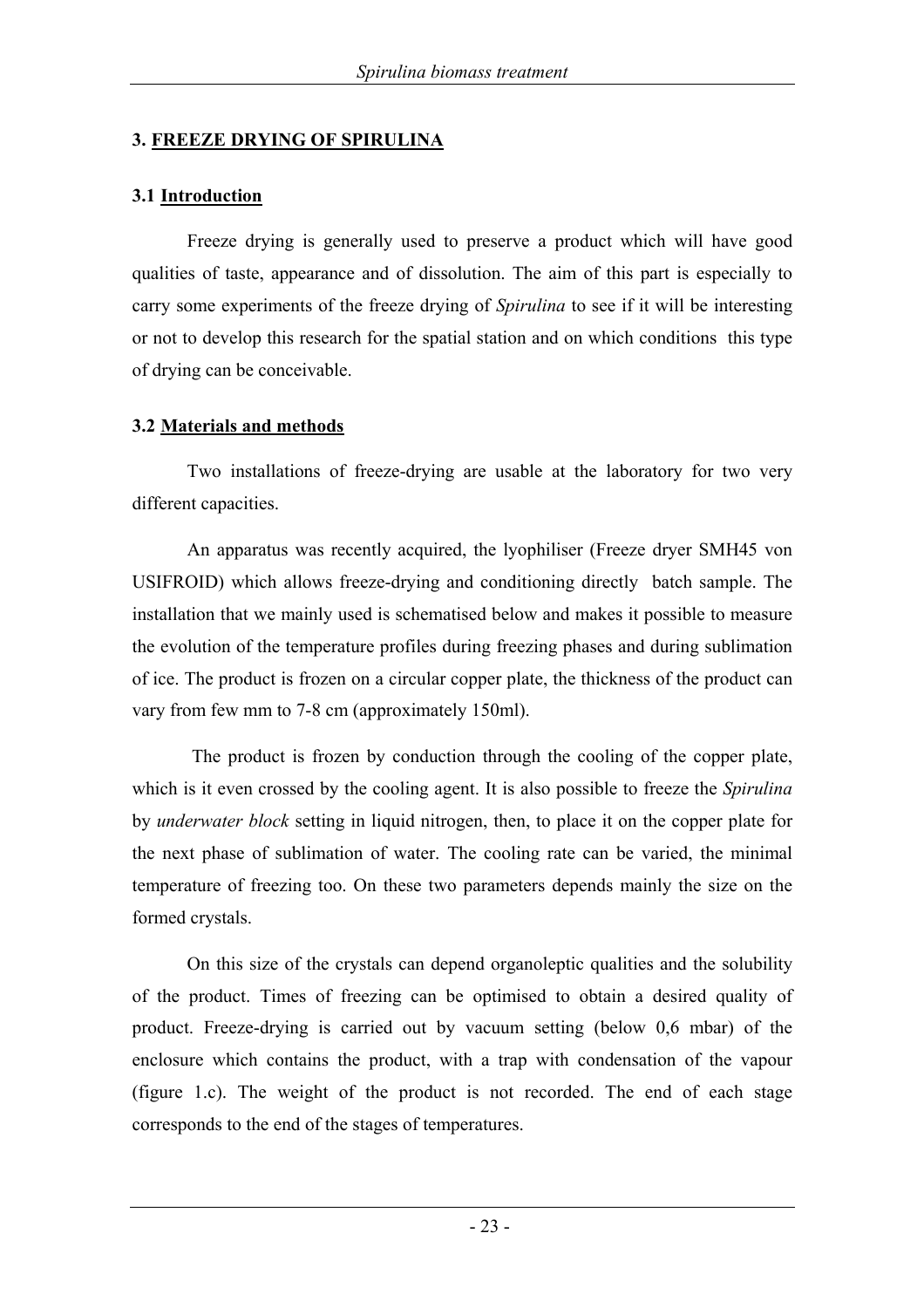#### **3. FREEZE DRYING OF SPIRULINA**

#### **3.1 Introduction**

Freeze drying is generally used to preserve a product which will have good qualities of taste, appearance and of dissolution. The aim of this part is especially to carry some experiments of the freeze drying of *Spirulina* to see if it will be interesting or not to develop this research for the spatial station and on which conditions this type of drying can be conceivable.

#### **3.2 Materials and methods**

Two installations of freeze-drying are usable at the laboratory for two very different capacities.

An apparatus was recently acquired, the lyophiliser (Freeze dryer SMH45 von USIFROID) which allows freeze-drying and conditioning directly batch sample. The installation that we mainly used is schematised below and makes it possible to measure the evolution of the temperature profiles during freezing phases and during sublimation of ice. The product is frozen on a circular copper plate, the thickness of the product can vary from few mm to 7-8 cm (approximately 150ml).

 The product is frozen by conduction through the cooling of the copper plate, which is it even crossed by the cooling agent. It is also possible to freeze the *Spirulina* by *underwater block* setting in liquid nitrogen, then, to place it on the copper plate for the next phase of sublimation of water. The cooling rate can be varied, the minimal temperature of freezing too. On these two parameters depends mainly the size on the formed crystals.

On this size of the crystals can depend organoleptic qualities and the solubility of the product. Times of freezing can be optimised to obtain a desired quality of product. Freeze-drying is carried out by vacuum setting (below 0,6 mbar) of the enclosure which contains the product, with a trap with condensation of the vapour (figure 1.c). The weight of the product is not recorded. The end of each stage corresponds to the end of the stages of temperatures.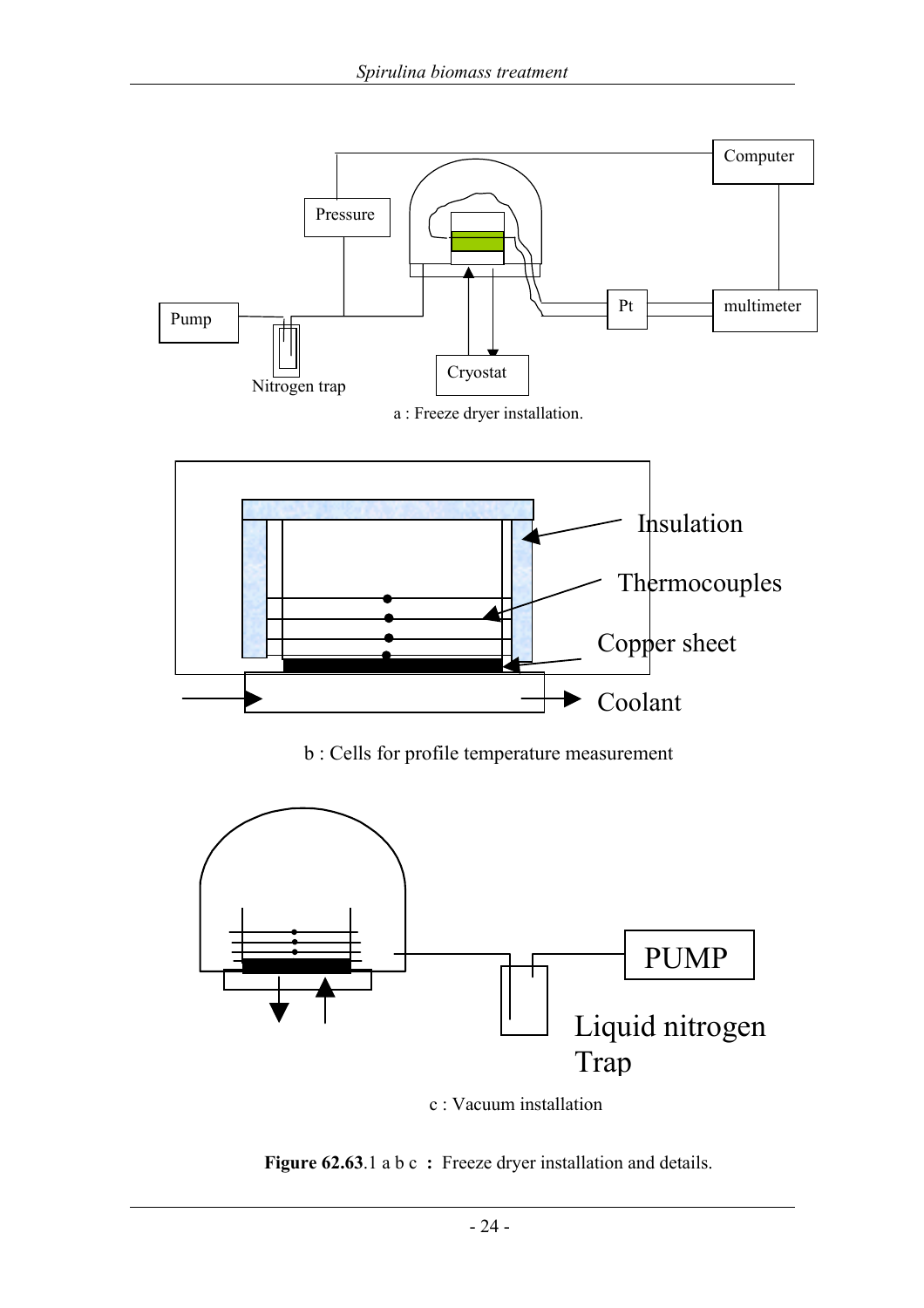

c : Vacuum installation

**Figure 62.63**.1 a b c : Freeze dryer installation and details.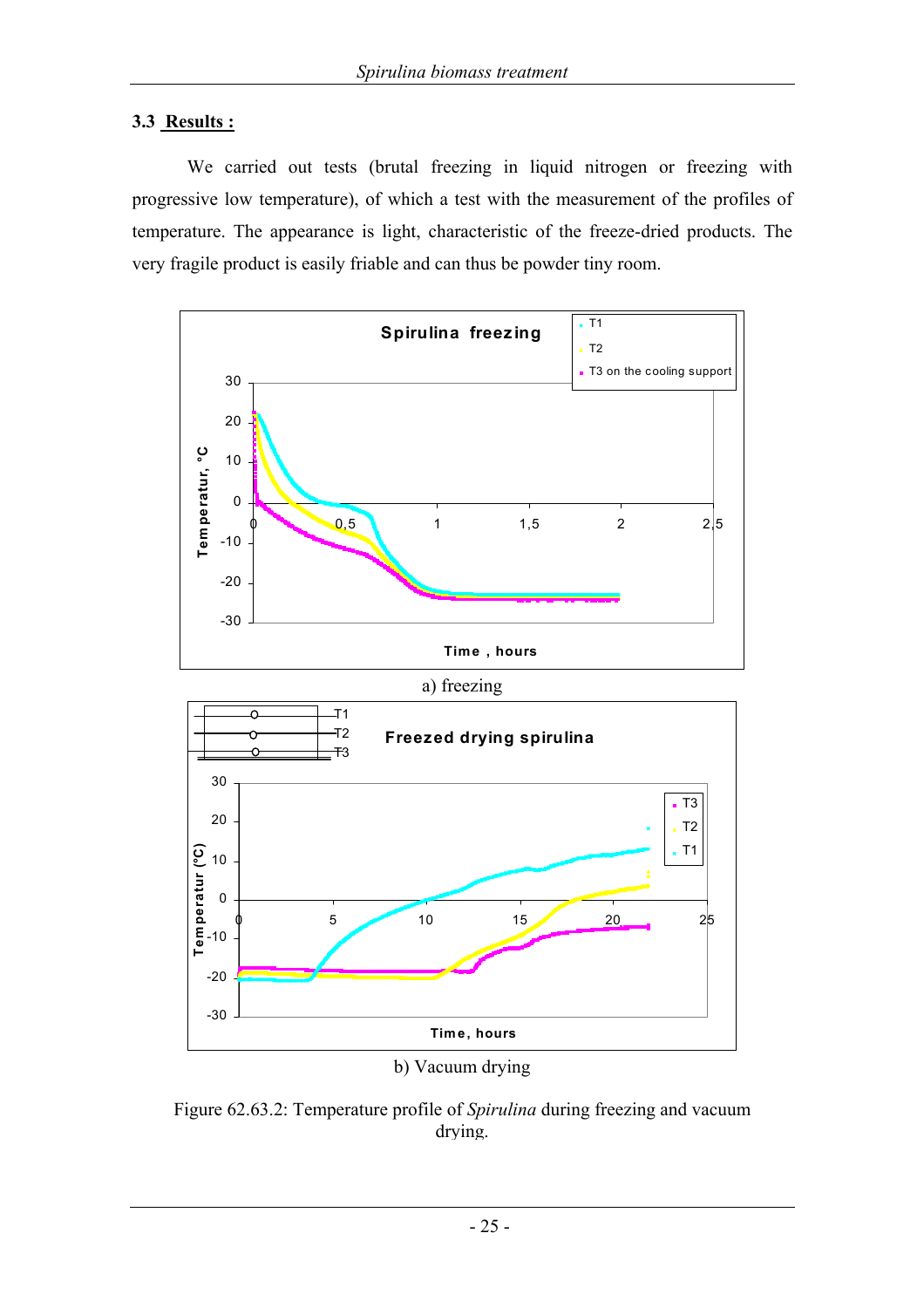#### **3.3 Results :**

-30

-20

-10

We carried out tests (brutal freezing in liquid nitrogen or freezing with progressive low temperature), of which a test with the measurement of the profiles of temperature. The appearance is light, characteristic of the freeze-dried products. The very fragile product is easily friable and can thus be powder tiny room.



Figure 62.63.2: Temperature profile of *Spirulina* during freezing and vacuum drying.

b) Vacuum drying

 $\begin{array}{ccccccc}\n0 & 5 & 10 & 15 & 20 & 25\n\end{array}$ 

**Time, hours**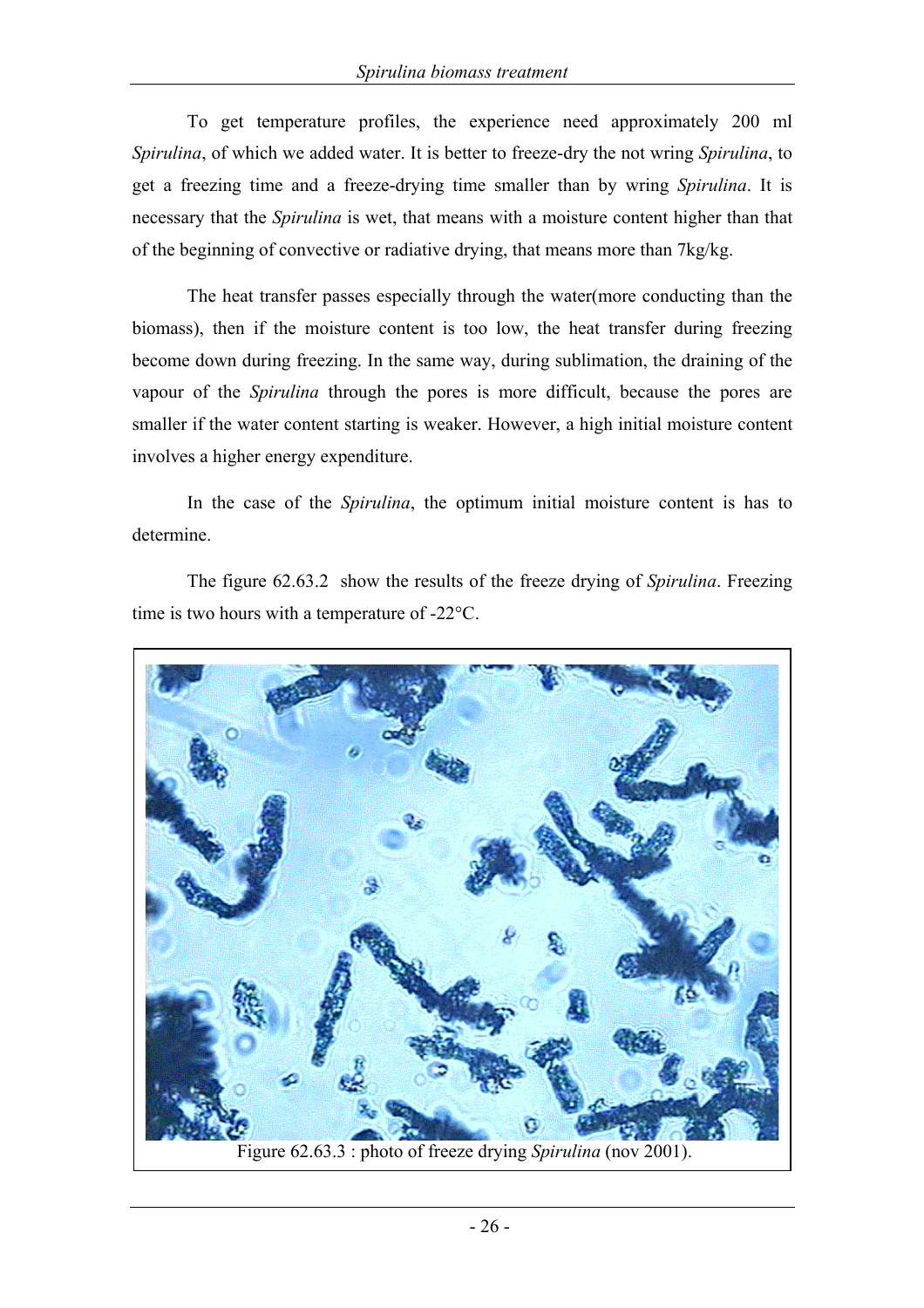To get temperature profiles, the experience need approximately 200 ml *Spirulina*, of which we added water. It is better to freeze-dry the not wring *Spirulina*, to get a freezing time and a freeze-drying time smaller than by wring *Spirulina*. It is necessary that the *Spirulina* is wet, that means with a moisture content higher than that of the beginning of convective or radiative drying, that means more than 7kg/kg.

The heat transfer passes especially through the water(more conducting than the biomass), then if the moisture content is too low, the heat transfer during freezing become down during freezing. In the same way, during sublimation, the draining of the vapour of the *Spirulina* through the pores is more difficult, because the pores are smaller if the water content starting is weaker. However, a high initial moisture content involves a higher energy expenditure.

In the case of the *Spirulina*, the optimum initial moisture content is has to determine.

The figure 62.63.2 show the results of the freeze drying of *Spirulina*. Freezing time is two hours with a temperature of -22°C.

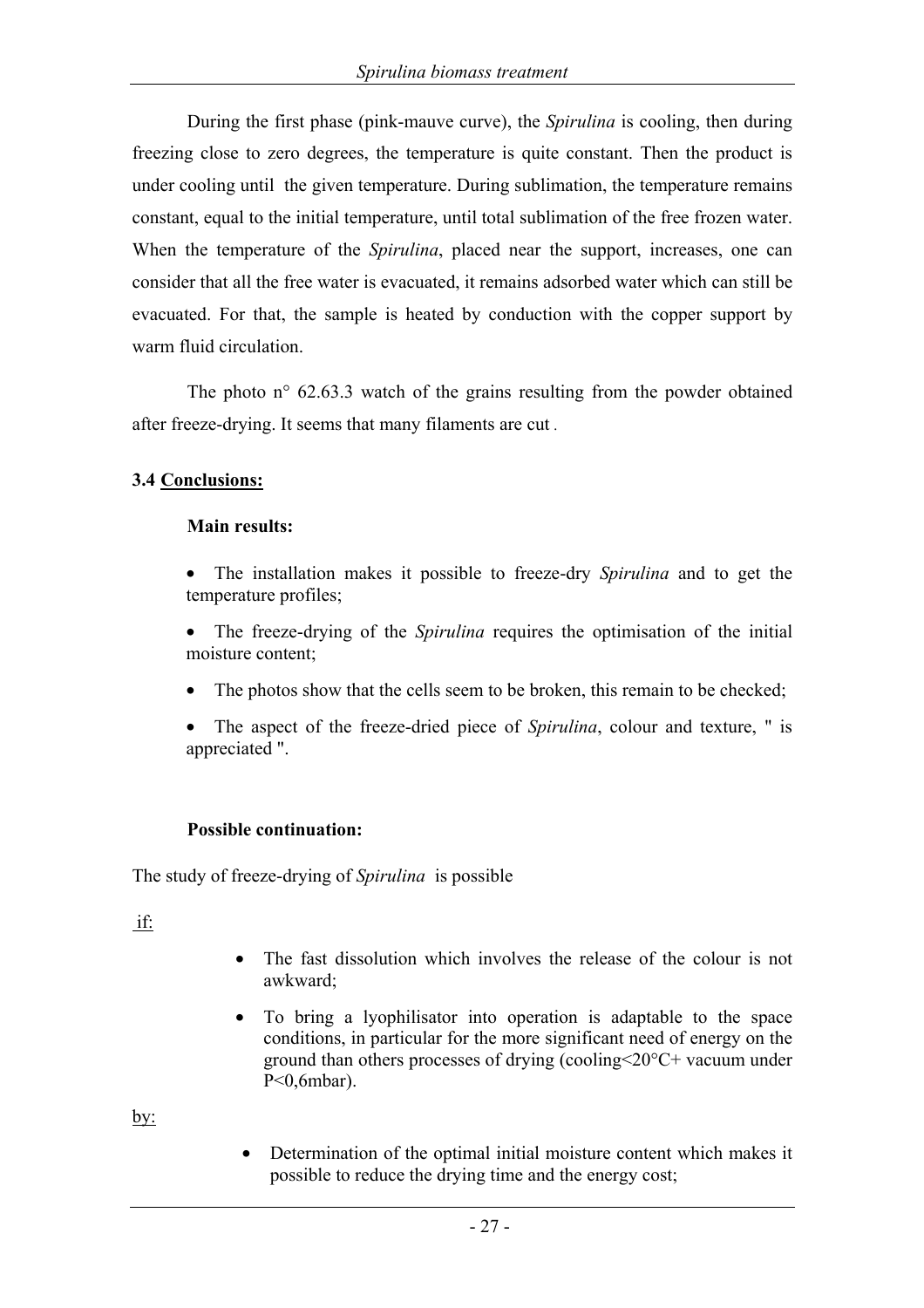During the first phase (pink-mauve curve), the *Spirulina* is cooling, then during freezing close to zero degrees, the temperature is quite constant. Then the product is under cooling until the given temperature. During sublimation, the temperature remains constant, equal to the initial temperature, until total sublimation of the free frozen water. When the temperature of the *Spirulina*, placed near the support, increases, one can consider that all the free water is evacuated, it remains adsorbed water which can still be evacuated. For that, the sample is heated by conduction with the copper support by warm fluid circulation.

The photo  $n^{\circ}$  62.63.3 watch of the grains resulting from the powder obtained after freeze-drying. It seems that many filaments are cut .

#### **3.4 Conclusions:**

#### **Main results:**

- The installation makes it possible to freeze-dry *Spirulina* and to get the temperature profiles;
- The freeze-drying of the *Spirulina* requires the optimisation of the initial moisture content;
- The photos show that the cells seem to be broken, this remain to be checked;
- The aspect of the freeze-dried piece of *Spirulina*, colour and texture, " is appreciated ".

#### **Possible continuation:**

The study of freeze-drying of *Spirulina* is possible

if:

- The fast dissolution which involves the release of the colour is not awkward;
- To bring a lyophilisator into operation is adaptable to the space conditions, in particular for the more significant need of energy on the ground than others processes of drying (cooling<20°C+ vacuum under P<0,6mbar).

by:

• Determination of the optimal initial moisture content which makes it possible to reduce the drying time and the energy cost;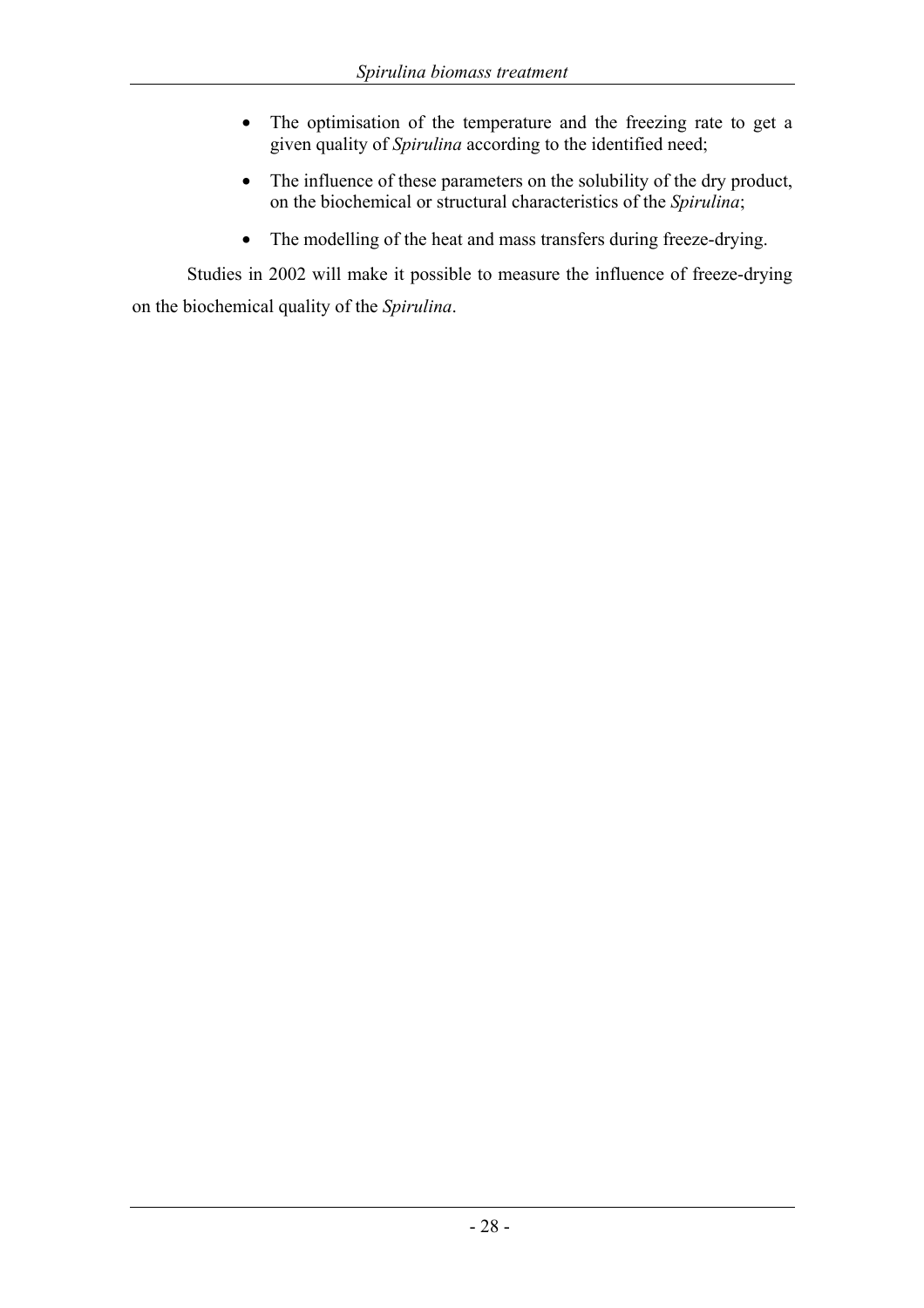- The optimisation of the temperature and the freezing rate to get a given quality of *Spirulina* according to the identified need;
- The influence of these parameters on the solubility of the dry product, on the biochemical or structural characteristics of the *Spirulina*;
- The modelling of the heat and mass transfers during freeze-drying.

Studies in 2002 will make it possible to measure the influence of freeze-drying on the biochemical quality of the *Spirulina*.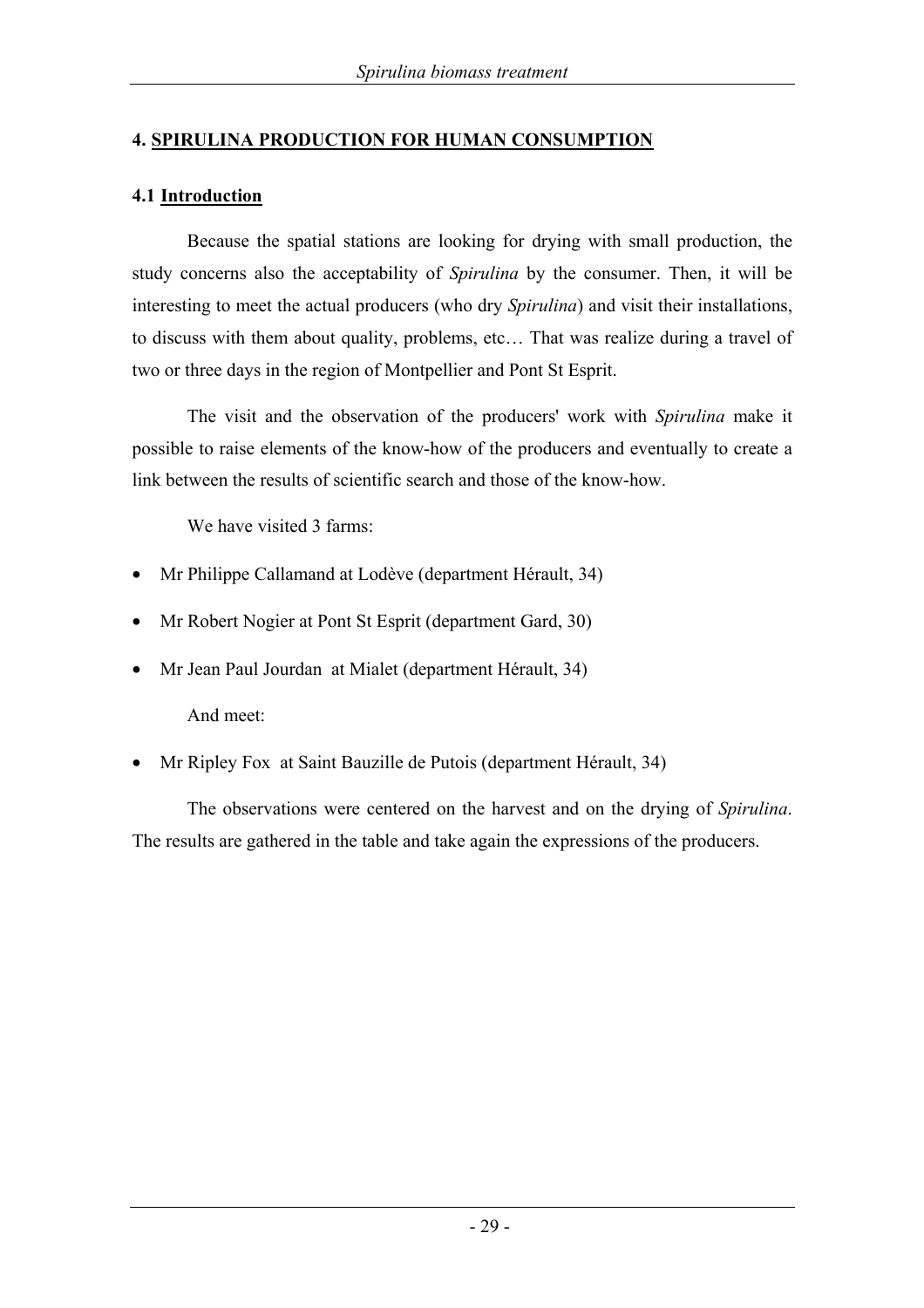#### **4. SPIRULINA PRODUCTION FOR HUMAN CONSUMPTION**

#### **4.1 Introduction**

Because the spatial stations are looking for drying with small production, the study concerns also the acceptability of *Spirulina* by the consumer. Then, it will be interesting to meet the actual producers (who dry *Spirulina*) and visit their installations, to discuss with them about quality, problems, etc… That was realize during a travel of two or three days in the region of Montpellier and Pont St Esprit.

The visit and the observation of the producers' work with *Spirulina* make it possible to raise elements of the know-how of the producers and eventually to create a link between the results of scientific search and those of the know-how.

We have visited 3 farms:

- Mr Philippe Callamand at Lodève (department Hérault, 34)
- Mr Robert Nogier at Pont St Esprit (department Gard, 30)
- Mr Jean Paul Jourdan at Mialet (department Hérault, 34)

And meet:

• Mr Ripley Fox at Saint Bauzille de Putois (department Hérault, 34)

The observations were centered on the harvest and on the drying of *Spirulina*. The results are gathered in the table and take again the expressions of the producers.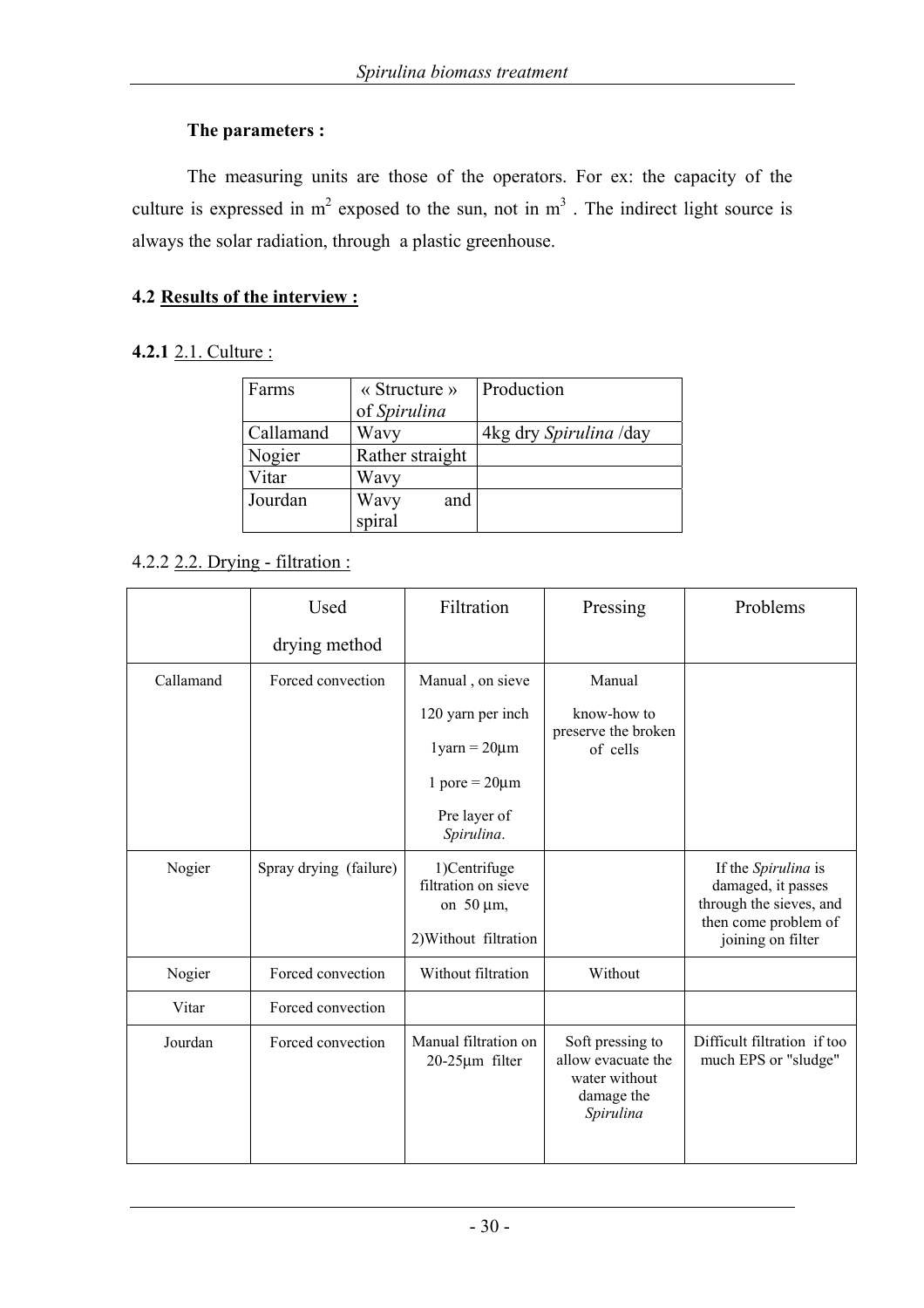#### **The parameters :**

The measuring units are those of the operators. For ex: the capacity of the culture is expressed in  $m^2$  exposed to the sun, not in  $m^3$ . The indirect light source is always the solar radiation, through a plastic greenhouse.

## **4.2 Results of the interview :**

## **4.2.1** 2.1. Culture :

| Farms     | $\langle$ Structure $\rangle$<br>of Spirulina | Production             |
|-----------|-----------------------------------------------|------------------------|
| Callamand | Wavy                                          | 4kg dry Spirulina /day |
| Nogier    | Rather straight                               |                        |
| Vitar     | Wavy                                          |                        |
| Jourdan   | Wavy<br>and                                   |                        |
|           | spiral                                        |                        |

# 4.2.2 2.2. Drying - filtration :

|           | Used                   | Filtration                                             | Pressing                                                                           | Problems                                                                                     |
|-----------|------------------------|--------------------------------------------------------|------------------------------------------------------------------------------------|----------------------------------------------------------------------------------------------|
|           | drying method          |                                                        |                                                                                    |                                                                                              |
| Callamand | Forced convection      | Manual, on sieve                                       | Manual                                                                             |                                                                                              |
|           |                        | 120 yarn per inch                                      | know-how to<br>preserve the broken<br>of cells                                     |                                                                                              |
|           |                        | $1 \text{yarn} = 20 \mu m$                             |                                                                                    |                                                                                              |
|           |                        | 1 pore = $20 \mu m$                                    |                                                                                    |                                                                                              |
|           |                        | Pre layer of<br>Spirulina.                             |                                                                                    |                                                                                              |
| Nogier    | Spray drying (failure) | 1)Centrifuge<br>filtration on sieve<br>on $50 \mu m$ , |                                                                                    | If the Spirulina is<br>damaged, it passes<br>through the sieves, and<br>then come problem of |
|           |                        | 2) Without filtration                                  |                                                                                    | joining on filter                                                                            |
| Nogier    | Forced convection      | Without filtration                                     | Without                                                                            |                                                                                              |
| Vitar     | Forced convection      |                                                        |                                                                                    |                                                                                              |
| Jourdan   | Forced convection      | Manual filtration on<br>20-25µm filter                 | Soft pressing to<br>allow evacuate the<br>water without<br>damage the<br>Spirulina | Difficult filtration if too<br>much EPS or "sludge"                                          |